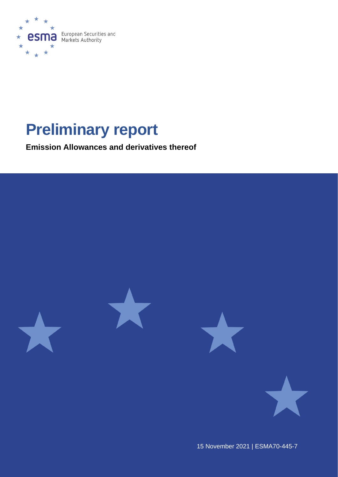

# **Preliminary report**

**Emission Allowances and derivatives thereof**



15 November 2021 | ESMA70-445-7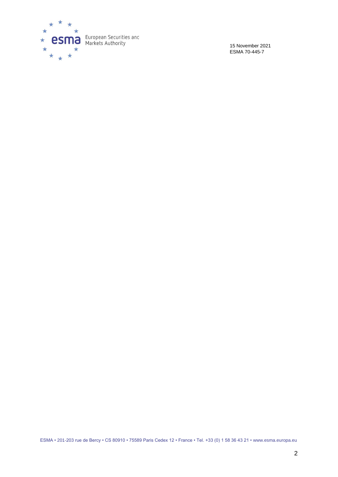

15 November 2021 ESMA 70-445-7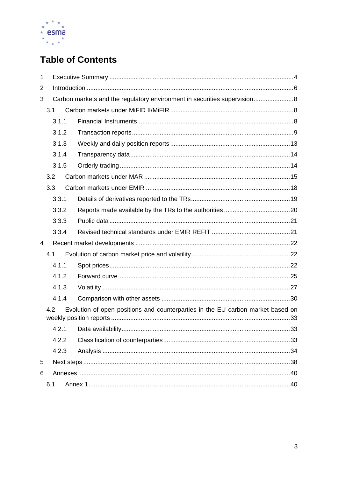

# **Table of Contents**

| 1 |     |       |  |                                                                                 |  |  |
|---|-----|-------|--|---------------------------------------------------------------------------------|--|--|
| 2 |     |       |  |                                                                                 |  |  |
| 3 |     |       |  | Carbon markets and the regulatory environment in securities supervision 8       |  |  |
|   | 3.1 |       |  |                                                                                 |  |  |
|   |     | 3.1.1 |  |                                                                                 |  |  |
|   |     | 3.1.2 |  |                                                                                 |  |  |
|   |     | 3.1.3 |  |                                                                                 |  |  |
|   |     | 3.1.4 |  |                                                                                 |  |  |
|   |     | 3.1.5 |  |                                                                                 |  |  |
|   |     | 3.2   |  |                                                                                 |  |  |
|   | 3.3 |       |  |                                                                                 |  |  |
|   |     | 3.3.1 |  |                                                                                 |  |  |
|   |     | 3.3.2 |  |                                                                                 |  |  |
|   |     | 3.3.3 |  |                                                                                 |  |  |
|   |     | 3.3.4 |  |                                                                                 |  |  |
| 4 |     |       |  |                                                                                 |  |  |
|   | 4.1 |       |  |                                                                                 |  |  |
|   |     | 4.1.1 |  |                                                                                 |  |  |
|   |     | 4.1.2 |  |                                                                                 |  |  |
|   |     | 4.1.3 |  |                                                                                 |  |  |
|   |     | 4.1.4 |  |                                                                                 |  |  |
|   |     | 4.2   |  | Evolution of open positions and counterparties in the EU carbon market based on |  |  |
|   |     | 4.2.1 |  |                                                                                 |  |  |
|   |     | 4.2.2 |  |                                                                                 |  |  |
|   |     | 4.2.3 |  |                                                                                 |  |  |
| 5 |     |       |  |                                                                                 |  |  |
| 6 |     |       |  |                                                                                 |  |  |
|   | 6.1 |       |  |                                                                                 |  |  |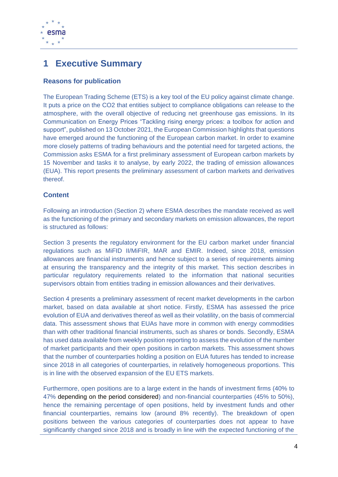

# <span id="page-3-0"></span>**1 Executive Summary**

### **Reasons for publication**

The European Trading Scheme (ETS) is a key tool of the EU policy against climate change. It puts a price on the CO2 that entities subject to compliance obligations can release to the atmosphere, with the overall objective of reducing net greenhouse gas emissions. In its Communication on Energy Prices "Tackling rising energy prices: a toolbox for action and support", published on 13 October 2021, the European Commission highlights that questions have emerged around the functioning of the European carbon market. In order to examine more closely patterns of trading behaviours and the potential need for targeted actions, the Commission asks ESMA for a first preliminary assessment of European carbon markets by 15 November and tasks it to analyse, by early 2022, the trading of emission allowances (EUA). This report presents the preliminary assessment of carbon markets and derivatives thereof.

### **Content**

Following an introduction (Section 2) where ESMA describes the mandate received as well as the functioning of the primary and secondary markets on emission allowances, the report is structured as follows:

Section 3 presents the regulatory environment for the EU carbon market under financial regulations such as MiFID II/MiFIR, MAR and EMIR. Indeed, since 2018, emission allowances are financial instruments and hence subject to a series of requirements aiming at ensuring the transparency and the integrity of this market. This section describes in particular regulatory requirements related to the information that national securities supervisors obtain from entities trading in emission allowances and their derivatives.

Section 4 presents a preliminary assessment of recent market developments in the carbon market, based on data available at short notice. Firstly, ESMA has assessed the price evolution of EUA and derivatives thereof as well as their volatility, on the basis of commercial data. This assessment shows that EUAs have more in common with energy commodities than with other traditional financial instruments, such as shares or bonds. Secondly, ESMA has used data available from weekly position reporting to assess the evolution of the number of market participants and their open positions in carbon markets. This assessment shows that the number of counterparties holding a position on EUA futures has tended to increase since 2018 in all categories of counterparties, in relatively homogeneous proportions. This is in line with the observed expansion of the EU ETS markets.

Furthermore, open positions are to a large extent in the hands of investment firms (40% to 47% depending on the period considered) and non-financial counterparties (45% to 50%), hence the remaining percentage of open positions, held by investment funds and other financial counterparties, remains low (around 8% recently). The breakdown of open positions between the various categories of counterparties does not appear to have significantly changed since 2018 and is broadly in line with the expected functioning of the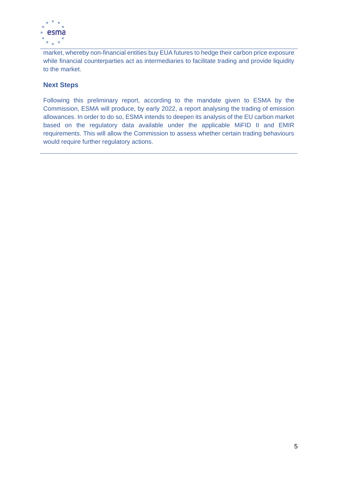

market, whereby non-financial entities buy EUA futures to hedge their carbon price exposure while financial counterparties act as intermediaries to facilitate trading and provide liquidity to the market.

### **Next Steps**

Following this preliminary report, according to the mandate given to ESMA by the Commission, ESMA will produce, by early 2022, a report analysing the trading of emission allowances. In order to do so, ESMA intends to deepen its analysis of the EU carbon market based on the regulatory data available under the applicable MiFID II and EMIR requirements. This will allow the Commission to assess whether certain trading behaviours would require further regulatory actions.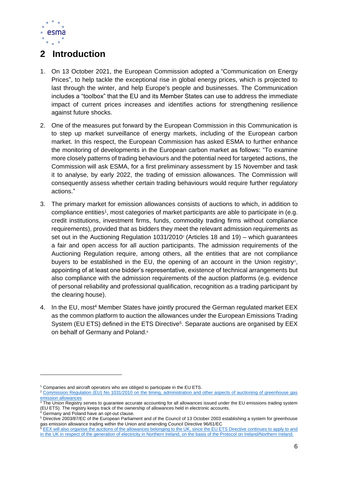

# <span id="page-5-0"></span>**2 Introduction**

- 1. On 13 October 2021, the European Commission adopted a ["Communication on Energy](https://ec.europa.eu/energy/sites/default/files/tackling_rising_energy_prices_a_toolbox_for_action_and_support.pdf)  [Prices"](https://ec.europa.eu/energy/sites/default/files/tackling_rising_energy_prices_a_toolbox_for_action_and_support.pdf), to help tackle the exceptional rise in global energy prices, which is projected to last through the winter, and help Europe's people and businesses. The Communication includes a "toolbox" that the EU and its Member States can use to address the immediate impact of current prices increases and identifies actions for strengthening resilience against future shocks.
- 2. One of the measures put forward by the European Commission in this Communication is to step up market surveillance of energy markets, including of the European carbon market. In this respect, the European Commission has asked ESMA to further enhance the monitoring of developments in the European carbon market as follows: "To examine more closely patterns of trading behaviours and the potential need for targeted actions, the Commission will ask ESMA, for a first preliminary assessment by 15 November and task it to analyse, by early 2022, the trading of emission allowances. The Commission will consequently assess whether certain trading behaviours would require further regulatory actions."
- 3. The primary market for emission allowances consists of auctions to which, in addition to compliance entities<sup>1</sup>, most categories of market participants are able to participate in (e.g. credit institutions, investment firms, funds, commodity trading firms without compliance requirements), provided that as bidders they meet the relevant admission requirements as set out in the Auctioning Regulation 1031/2010<sup>2</sup> (Articles 18 and 19) – which guarantees a fair and open access for all auction participants. The admission requirements of the Auctioning Regulation require, among others, all the entities that are not compliance buyers to be established in the EU, the opening of an account in the Union registry<sup>3</sup>, appointing of at least one bidder's representative, existence of technical arrangements but also compliance with the admission requirements of the auction platforms (e.g. evidence of personal reliability and professional qualification, recognition as a trading participant by the clearing house).
- 4. In the EU, most<sup>4</sup> Member States have jointly procured the German regulated market EEX as the common platform to auction the allowances under the European Emissions Trading System (EU ETS) defined in the ETS Directive<sup>5</sup>. Separate auctions are organised by EEX on behalf of Germany and Poland.<sup>6</sup>

Germany and Poland have an opt-out clause.

<sup>&</sup>lt;sup>1</sup> Companies and aircraft operators who are obliged to participate in the EU ETS.

<sup>&</sup>lt;sup>2</sup> Commission Regulation (EU) No 1031/2010 on the timing, administration and other aspects of auctioning of greenhouse gas [emission allowances](https://eur-lex.europa.eu/legal-content/EN/TXT/PDF/?uri=CELEX:02010R1031-20191128&from=EN)

<sup>3</sup> The Union Registry serves to guarantee accurate accounting for all allowances issued under the EU emissions trading system (EU ETS). The registry keeps track of the ownership of allowances held in electronic accounts.

<sup>&</sup>lt;sup>5</sup> Directive 2003/87/EC of the European Parliament and of the Council of 13 October 2003 establishing a system for greenhouse gas emission allowance trading within the Union and amending Council Directive 96/61/EC

<sup>6</sup> EEX will also organise the auctions of the allowances belonging to the UK, since the EU ETS Directive continues to apply to and in the UK in respect of the generation of electricity in Northern Ireland, on the basis of the Protocol on Ireland/Northern Ireland.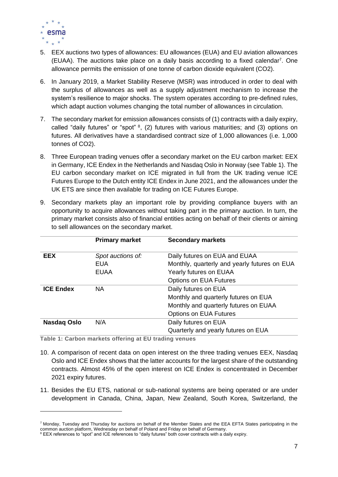

- 5. EEX auctions two types of allowances: EU allowances (EUA) and EU aviation allowances  $(EUAA)$ . The auctions take place on a daily basis according to a fixed calendar<sup>7</sup>. One allowance permits the emission of one tonne of carbon dioxide equivalent (CO2).
- 6. In January 2019, a Market Stability Reserve (MSR) was introduced in order to deal with the surplus of allowances as well as a supply adjustment mechanism to increase the system's resilience to major shocks. The system operates according to pre-defined rules, which adapt auction volumes changing the total number of allowances in circulation.
- 7. The secondary market for emission allowances consists of (1) contracts with a daily expiry, called "daily futures" or "spot"  $8$ , (2) futures with various maturities; and (3) options on futures. All derivatives have a standardised contract size of 1,000 allowances (i.e. 1,000 tonnes of CO2).
- 8. Three European trading venues offer a secondary market on the EU carbon market: EEX in Germany, ICE Endex in the Netherlands and Nasdaq Oslo in Norway (see [Table 1\)](#page-6-0). The EU carbon secondary market on ICE migrated in full from the UK trading venue ICE Futures Europe to the Dutch entity ICE Endex in June 2021, and the allowances under the UK ETS are since then available for trading on ICE Futures Europe.
- 9. Secondary markets play an important role by providing compliance buyers with an opportunity to acquire allowances without taking part in the primary auction. In turn, the primary market consists also of financial entities acting on behalf of their clients or aiming to sell allowances on the secondary market.

|                  | <b>Primary market</b> | <b>Secondary markets</b>                     |
|------------------|-----------------------|----------------------------------------------|
| <b>EEX</b>       | Spot auctions of:     | Daily futures on EUA and EUAA                |
|                  | <b>EUA</b>            | Monthly, quarterly and yearly futures on EUA |
|                  | <b>EUAA</b>           | Yearly futures on EUAA                       |
|                  |                       | <b>Options on EUA Futures</b>                |
| <b>ICE Endex</b> | NA.                   | Daily futures on EUA                         |
|                  |                       | Monthly and quarterly futures on EUA         |
|                  |                       | Monthly and quarterly futures on EUAA        |
|                  |                       | <b>Options on EUA Futures</b>                |
| Nasdag Oslo      | N/A                   | Daily futures on EUA                         |
|                  |                       | Quarterly and yearly futures on EUA          |

<span id="page-6-0"></span>**Table 1: Carbon markets offering at EU trading venues** 

- 10. A comparison of recent data on open interest on the three trading venues EEX, Nasdaq Oslo and ICE Endex shows that the latter accounts for the largest share of the outstanding contracts. Almost 45% of the open interest on ICE Endex is concentrated in December 2021 expiry futures.
- 11. Besides the EU ETS, national or sub-national systems are being operated or are under development in Canada, China, Japan, New Zealand, South Korea, Switzerland, the

<sup>7</sup> Monday, Tuesday and Thursday for auctions on behalf of the Member States and the EEA EFTA States participating in the common auction platform, Wednesday on behalf of Poland and Friday on behalf of Germany.

<sup>8</sup> EEX references to "spot" and ICE references to "daily futures" both cover contracts with a daily expiry.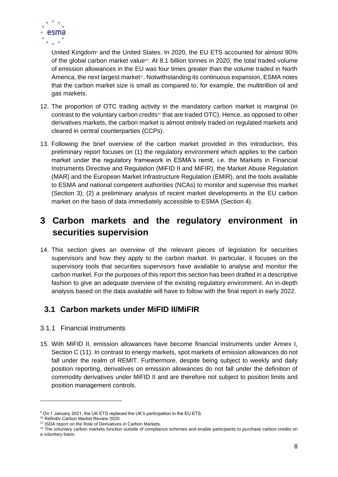

United Kingdom<sup>9</sup> and the United States. In 2020, the EU ETS accounted for almost 90% of the global carbon market value<sup>10</sup>. At 8.1 billion tonnes in 2020, the total traded volume of emission allowances in the EU was four times greater than the volume traded in North America, the next largest market<sup>11</sup>. Notwithstanding its continuous expansion, ESMA notes that the carbon market size is small as compared to, for example, the multitrillion oil and gas markets.

- 12. The proportion of OTC trading activity in the mandatory carbon market is marginal (in contrast to the voluntary carbon credits<sup>12</sup> that are traded OTC). Hence, as opposed to other derivatives markets, the carbon market is almost entirely traded on regulated markets and cleared in central counterparties (CCPs).
- 13. Following the brief overview of the carbon market provided in this introduction, this preliminary report focuses on (1) the regulatory environment which applies to the carbon market under the regulatory framework in ESMA's remit, i.e. the Markets in Financial Instruments Directive and Regulation (MiFID II and MiFIR), the Market Abuse Regulation (MAR) and the European Market Infrastructure Regulation (EMIR), and the tools available to ESMA and national competent authorities (NCAs) to monitor and supervise this market (Section 3); (2) a preliminary analysis of recent market developments in the EU carbon market on the basis of data immediately accessible to ESMA (Section 4).

# <span id="page-7-0"></span>**3 Carbon markets and the regulatory environment in securities supervision**

14. This section gives an overview of the relevant pieces of legislation for securities supervisors and how they apply to the carbon market. In particular, it focuses on the supervisory tools that securities supervisors have available to analyse and monitor the carbon market. For the purposes of this report this section has been drafted in a descriptive fashion to give an adequate overview of the existing regulatory environment. An in-depth analysis based on the data available will have to follow with the final report in early 2022.

### <span id="page-7-1"></span>**3.1 Carbon markets under MiFID II/MiFIR**

- <span id="page-7-2"></span>3.1.1 Financial Instruments
- 15. With MiFID II, emission allowances have become financial instruments under Annex I, Section C (11). In contrast to energy markets, spot markets of emission allowances do not fall under the realm of REMIT. Furthermore, despite being subject to weekly and daily position reporting, derivatives on emission allowances do not fall under the definition of commodity derivatives under MiFID II and are therefore not subject to position limits and position management controls.

<sup>&</sup>lt;sup>9</sup> On 1 January 2021, the UK ETS replaced the UK's participation in the EU ETS.

<sup>10</sup> [Refinitiv Carbon Market Review 2020.](https://www.refinitiv.com/content/dam/marketing/en_us/documents/reports/carbon-market-year-in-review-2020.pdf)

<sup>&</sup>lt;sup>11</sup> [ISDA report on the Role of Derivatives in Carbon Markets.](https://www.isda.org/a/soigE/Role-of-Derivatives-in-Carbon-Markets.pdf)

 $12$  The voluntary carbon markets function outside of compliance schemes and enable participants to purchase carbon credits on a voluntary basis.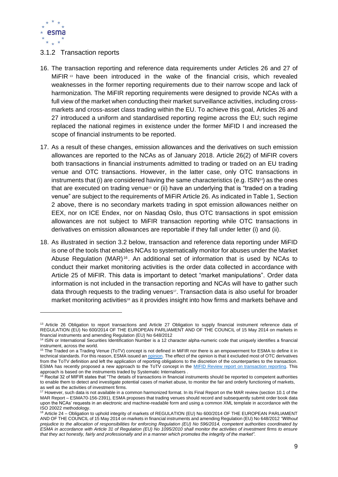

#### <span id="page-8-0"></span>3.1.2 Transaction reports

- 16. The transaction reporting and reference data requirements under Articles 26 and 27 of MiFIR <sup>13</sup> have been introduced in the wake of the financial crisis, which revealed weaknesses in the former reporting requirements due to their narrow scope and lack of harmonization. The MiFIR reporting requirements were designed to provide NCAs with a full view of the market when conducting their market surveillance activities, including crossmarkets and cross-asset class trading within the EU. To achieve this goal, Articles 26 and 27 introduced a uniform and standardised reporting regime across the EU; such regime replaced the national regimes in existence under the former MiFID I and increased the scope of financial instruments to be reported.
- 17. As a result of these changes, emission allowances and the derivatives on such emission allowances are reported to the NCAs as of January 2018. Article 26(2) of MiFIR covers both transactions in financial instruments admitted to trading or traded on an EU trading venue and OTC transactions. However, in the latter case, only OTC transactions in instruments that (i) are considered having the same characteristics (e.g.  $ISIN^{4}$ ) as the ones that are executed on trading venue<sup>15</sup> or (ii) have an underlying that is "traded on a trading venue" are subject to the requirements of MiFiR Article 26. As indicated in Table 1, Section 2 above, there is no secondary markets trading in spot emission allowances neither on EEX, nor on ICE Endex, nor on Nasdaq Oslo, thus OTC transactions in spot emission allowances are not subject to MiFIR transaction reporting while OTC transactions in derivatives on emission allowances are reportable if they fall under letter (i) and (ii).
- 18. As illustrated in section 3.2 below, transaction and reference data reporting under MiFID is one of the tools that enables NCAs to systematically monitor for abuses under the Market Abuse Regulation (MAR)<sup>16</sup>. An additional set of information that is used by NCAs to conduct their market monitoring activities is the order data collected in accordance with Article 25 of MiFIR. This data is important to detect "market manipulations". Order data information is not included in the transaction reporting and NCAs will have to gather such data through requests to the trading venues<sup>17</sup>. Transaction data is also useful for broader market monitoring activities<sup>18</sup> as it provides insight into how firms and markets behave and

<sup>&</sup>lt;sup>13</sup> Article 26 Obligation to report transactions and Article 27 Obligation to supply financial instrument reference data of [REGULATION \(EU\) No 600/2014 OF THE EUROPEAN PARLIAMENT AND OF THE COUNCIL of 15 May 2014 on markets in](https://eur-lex.europa.eu/legal-content/EN/TXT/PDF/?uri=CELEX:32014R0600&from=EN)  [financial instruments and amending Regulation \(EU\) No 648/2012](https://eur-lex.europa.eu/legal-content/EN/TXT/PDF/?uri=CELEX:32014R0600&from=EN)

<sup>14</sup> ISIN or International Securities Identification Number is a 12 character alpha-numeric code that uniquely identifies a financial instrument, across the world.

<sup>&</sup>lt;sup>15</sup> The Traded on a Trading Venue (ToTV) concept is not defined in MiFIR nor there is an empowerment for ESMA to define it in technical standards. For this reason, ESMA issued an *opinion*. The effect of the opinion is that it excluded most of OTC derivatives from the ToTV definition and left the application of reporting obligations to the discretion of the counterparties to the transaction. ESMA has recently proposed a new approach to the ToTV concept in the [MIFID Review report on transaction reporting.](https://www.esma.europa.eu/press-news/esma-news/esma-proposes-amendments-mifir-transactions-and-reference-data-reporting) This approach is based on the instruments traded by Systematic Internalisers .

<sup>&</sup>lt;sup>16</sup> Recital 32 of MIFIR states that "The details of transactions in financial instruments should be reported to competent authorities to enable them to detect and investigate potential cases of market abuse, to monitor the fair and orderly functioning of markets, as well as the activities of investment firms.

<sup>&</sup>lt;sup>17</sup> However, such data is not available in a common harmonized format. In its Final Report on the MAR review (section 10.1 of the MAR Report – ESMA70-156-2391), ESMA proposes that trading venues should record and subsequently submit order book data upon the NCAs' requests in an electronic and machine-readable form and using a common XML template in accordance with the ISO 20022 methodology.

<sup>18</sup> Article 24 – [Obligation to uphold integrity of markets of REGULATION \(EU\) No 600/2014 OF THE EUROPEAN PARLIAMENT](https://eur-lex.europa.eu/legal-content/EN/TXT/PDF/?uri=CELEX:32014R0600&from=EN)  [AND OF THE COUNCIL of 15 May 2014 on markets in financial instruments and amending Regulation \(EU\) No 648/2012](https://eur-lex.europa.eu/legal-content/EN/TXT/PDF/?uri=CELEX:32014R0600&from=EN) *"Without prejudice to the allocation of responsibilities for enforcing Regulation (EU) No 596/2014, competent authorities coordinated by ESMA in accordance with Article 31 of Regulation (EU) No 1095/2010 shall monitor the activities of investment firms to ensure that they act honestly, fairly and professionally and in a manner which promotes the integrity of the market"*.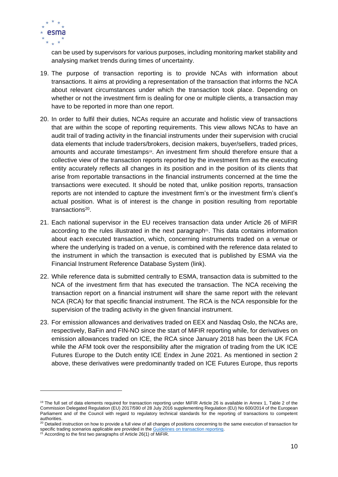

can be used by supervisors for various purposes, including monitoring market stability and analysing market trends during times of uncertainty.

- 19. The purpose of transaction reporting is to provide NCAs with information about transactions. It aims at providing a representation of the transaction that informs the NCA about relevant circumstances under which the transaction took place. Depending on whether or not the investment firm is dealing for one or multiple clients, a transaction may have to be reported in more than one report.
- <span id="page-9-0"></span>20. In order to fulfil their duties, NCAs require an accurate and holistic view of transactions that are within the scope of reporting requirements. This view allows NCAs to have an audit trail of trading activity in the financial instruments under their supervision with crucial data elements that include traders/brokers, decision makers, buyer/sellers, traded prices, amounts and accurate timestamps<sup>19</sup>. An investment firm should therefore ensure that a collective view of the transaction reports reported by the investment firm as the executing entity accurately reflects all changes in its position and in the position of its clients that arise from reportable transactions in the financial instruments concerned at the time the transactions were executed. It should be noted that, unlike position reports, transaction reports are not intended to capture the investment firm's or the investment firm's client's actual position. What is of interest is the change in position resulting from reportable transactions<sup>20</sup>.
- 21. Each national supervisor in the EU receives transaction data under Article 26 of MiFIR according to the rules illustrated in the next paragraph $2<sup>i</sup>$ . This data contains information about each executed transaction, which, concerning instruments traded on a venue or where the underlying is traded on a venue, is combined with the reference data related to the instrument in which the transaction is executed that is published by ESMA via the Financial Instrument Reference Database System [\(link\)](https://registers.esma.europa.eu/publication/searchRegister?core=esma_registers_firds).
- 22. While reference data is submitted centrally to ESMA, transaction data is submitted to the NCA of the investment firm that has executed the transaction. The NCA receiving the transaction report on a financial instrument will share the same report with the relevant NCA (RCA) for that specific financial instrument. The RCA is the NCA responsible for the supervision of the trading activity in the given financial instrument.
- <span id="page-9-1"></span>23. For emission allowances and derivatives traded on EEX and Nasdaq Oslo, the NCAs are, respectively, BaFin and FIN-NO since the start of MiFIR reporting while, for derivatives on emission allowances traded on ICE, the RCA since January 2018 has been the UK FCA while the AFM took over the responsibility after the migration of trading from the UK ICE Futures Europe to the Dutch entity ICE Endex in June 2021. As mentioned in section 2 above, these derivatives were predominantly traded on ICE Futures Europe, thus reports

<sup>&</sup>lt;sup>19</sup> The full set of data elements required for transaction reporting under MiFIR Article 26 is available in Annex 1, Table 2 of the [Commission Delegated Regulation \(EU\) 2017/590 of 28 July 2016 supplementing Regulation \(EU\) No 600/2014](https://eur-lex.europa.eu/legal-content/EN/TXT/PDF/?uri=CELEX:32017R0590&from=EN) of the European Parliament and of the Council with regard to regulatory technical standards for the reporting of transactions to competent authorities.

<sup>&</sup>lt;sup>20</sup> Detailed instruction on how to provide a full view of all changes of positions concerning to the same execution of transaction for specific trading scenarios applicable are provided in the Guidelines on transaction reporting.

 $21$  According to the first two paragraphs of Article 26(1) of MiFIR.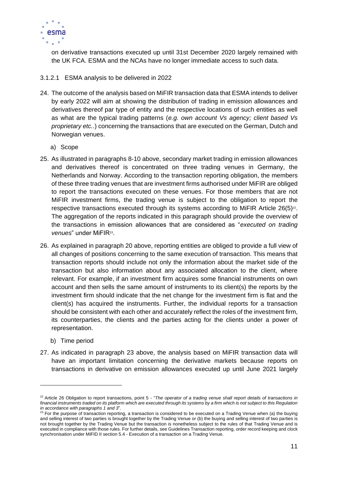

on derivative transactions executed up until 31st December 2020 largely remained with the UK FCA. ESMA and the NCAs have no longer immediate access to such data.

#### 3.1.2.1 ESMA analysis to be delivered in 2022

- 24. The outcome of the analysis based on MiFIR transaction data that ESMA intends to deliver by early 2022 will aim at showing the distribution of trading in emission allowances and derivatives thereof par type of entity and the respective locations of such entities as well as what are the typical trading patterns (*e.g. own account Vs agency; client based Vs proprietary etc..*) concerning the transactions that are executed on the German, Dutch and Norwegian venues.
	- a) Scope
- 25. As illustrated in paragraphs 8-10 above, secondary market trading in emission allowances and derivatives thereof is concentrated on three trading venues in Germany, the Netherlands and Norway. According to the transaction reporting obligation, the members of these three trading venues that are investment firms authorised under MiFIR are obliged to report the transactions executed on these venues. For those members that are not MiFIR investment firms, the trading venue is subject to the obligation to report the respective transactions executed through its systems according to MiFIR Article  $26(5)^{22}$ . The aggregation of the reports indicated in this paragraph should provide the overview of the transactions in emission allowances that are considered as "*executed on trading*  venues" under MiFIR<sup>23</sup>.
- 26. As explained in paragraph [20](#page-9-0) above, reporting entities are obliged to provide a full view of all changes of positions concerning to the same execution of transaction. This means that transaction reports should include not only the information about the market side of the transaction but also information about any associated allocation to the client, where relevant. For example, if an investment firm acquires some financial instruments on own account and then sells the same amount of instruments to its client(s) the reports by the investment firm should indicate that the net change for the investment firm is flat and the client(s) has acquired the instruments. Further, the individual reports for a transaction should be consistent with each other and accurately reflect the roles of the investment firm, its counterparties, the clients and the parties acting for the clients under a power of representation.
	- b) Time period
- 27. As indicated in paragraph [23](#page-9-1) above, the analysis based on MiFIR transaction data will have an important limitation concerning the derivative markets because reports on transactions in derivative on emission allowances executed up until June 2021 largely

<sup>22</sup> Article 26 Obligation to report transactions, point 5 - "*[The operator of a trading venue shall report details of transactions in](https://eur-lex.europa.eu/legal-content/EN/TXT/PDF/?uri=CELEX:32014R0600&from=EN)  [financial instruments traded on its platform which are executed through its systems by a firm which is not subject to this Regulation](https://eur-lex.europa.eu/legal-content/EN/TXT/PDF/?uri=CELEX:32014R0600&from=EN)  [in accordance with paragraphs 1 and 3](https://eur-lex.europa.eu/legal-content/EN/TXT/PDF/?uri=CELEX:32014R0600&from=EN)*".

<sup>&</sup>lt;sup>23</sup> For the purpose of transaction reporting, a transaction is considered to be executed on a Trading Venue when (a) the buying and selling interest of two parties is brought together by the Trading Venue or (b) the buying and selling interest of two parties is not brought together by the Trading Venue but the transaction is nonetheless subject to the rules of that Trading Venue and is executed in compliance with those rules. For further details, se[e Guidelines Transaction reporting, order record keeping and clock](https://www.esma.europa.eu/sites/default/files/library/2016-1452_guidelines_mifid_ii_transaction_reporting.pdf)  synchronisation under MiFID II section 5.4 - [Execution of a transaction on a Trading Venue.](https://www.esma.europa.eu/sites/default/files/library/2016-1452_guidelines_mifid_ii_transaction_reporting.pdf)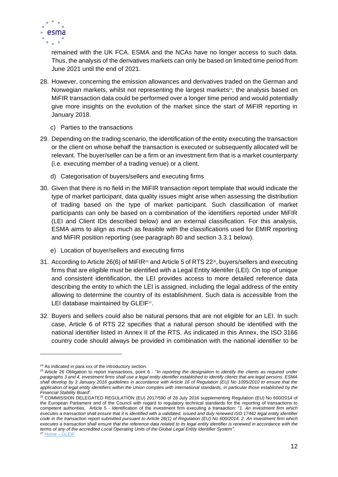

remained with the UK FCA. ESMA and the NCAs have no longer access to such data. Thus, the analysis of the derivatives markets can only be based on limited time period from June 2021 until the end of 2021.

- 28. However, concerning the emission allowances and derivatives traded on the German and Norwegian markets, whilst not representing the largest markets<sup>24</sup>, the analysis based on MiFIR transaction data could be performed over a longer time period and would potentially give more insights on the evolution of the market since the start of MiFIR reporting in January 2018.
	- c) Parties to the transactions
- 29. Depending on the trading scenario, the identification of the entity executing the transaction or the client on whose behalf the transaction is executed or subsequently allocated will be relevant. The buyer/seller can be a firm or an investment firm that is a market counterparty (i.e. executing member of a trading venue) or a client.
	- d) Categorisation of buyers/sellers and executing firms
- 30. Given that there is no field in the MiFIR transaction report template that would indicate the type of market participant, data quality issues might arise when assessing the distribution of trading based on the type of market participant. Such classification of market participants can only be based on a combination of the identifiers reported under MiFIR (LEI and Client IDs described below) and an external classification. For this analysis, ESMA aims to align as much as feasible with the classifications used for EMIR reporting and MiFIR position reporting (see paragraph 80 and section 3.3.1 below).
	- e) Location of buyer/sellers and executing firms
- 31. According to Article 26(6) of MiFIR<sup>25</sup> and Article 5 of RTS 22 $\textdegree$ , buyers/sellers and executing firms that are eligible must be identified with a Legal Entity Identifer (LEI). On top of unique and consistent identification, the LEI provides access to more detailed reference data describing the entity to which the LEI is assigned, including the legal address of the entity allowing to determine the country of its establishment. Such data is accessible from the LEI database maintained by GLEIF<sup>27</sup>.
- 32. Buyers and sellers could also be natural persons that are not eligible for an LEI. In such case, Article 6 of RTS 22 specifies that a natural person should be identified with the national identifier listed in Annex II of the RTS. As indicated in this Annex, the ISO 3166 country code should always be provided in combination with the national identifier to be

<sup>&</sup>lt;sup>24</sup> As indicated in para xxx of the introductory section.

<sup>&</sup>lt;sup>25</sup> Article 26 Obligation to report transactions, point 6 - "*In reporting the designation to identify the clients as required under [paragraphs 3 and 4, investment firms shall use a legal entity identifier established to identify clients that are legal persons. ESMA](https://eur-lex.europa.eu/legal-content/EN/TXT/PDF/?uri=CELEX:32014R0600&from=EN)  [shall develop by 3 January 2016 guidelines in accordance with Article 16 of Regulation \(EU\) No 1095/2010 to ensure that the](https://eur-lex.europa.eu/legal-content/EN/TXT/PDF/?uri=CELEX:32014R0600&from=EN)  [application of legal entity identifiers within the Union complies with international standards,](https://eur-lex.europa.eu/legal-content/EN/TXT/PDF/?uri=CELEX:32014R0600&from=EN) in particular those established by the [Financial Stability Board](https://eur-lex.europa.eu/legal-content/EN/TXT/PDF/?uri=CELEX:32014R0600&from=EN)*".

<sup>26</sup> [COMMISSION DELEGATED REGULATION \(EU\) 2017/590 of 28 July 2016 supplementing Regulation \(EU\) No 600/2014 of](https://eur-lex.europa.eu/legal-content/EN/TXT/PDF/?uri=uriserv:OJ.L_.2017.087.01.0449.01.ENG&toc=OJ:L:2017:087:TOC)  [the European Parliament and of the Council with regard to regulatory technical standards for the reporting of transactions to](https://eur-lex.europa.eu/legal-content/EN/TXT/PDF/?uri=uriserv:OJ.L_.2017.087.01.0449.01.ENG&toc=OJ:L:2017:087:TOC) [competent authorities,](https://eur-lex.europa.eu/legal-content/EN/TXT/PDF/?uri=uriserv:OJ.L_.2017.087.01.0449.01.ENG&toc=OJ:L:2017:087:TOC) Article 5 - Identification of the investment firm executing a transaction: "*1. An investment firm which executes a transaction shall ensure that it is identified with a validated, issued and duly renewed ISO 17442 legal entity identifier code in the transaction report submitted pursuant to Article 26(1) of Regulation (EU) No 600/2014. 2. An investment firm which executes a transaction shall ensure that the reference data related to its legal entity identifier is renewed in accordance with the terms of any of the accredited Local Operating Units of the Global Legal Entity Identifier System"*. <sup>27</sup> [Home –](https://www.gleif.org/en/) GLEIF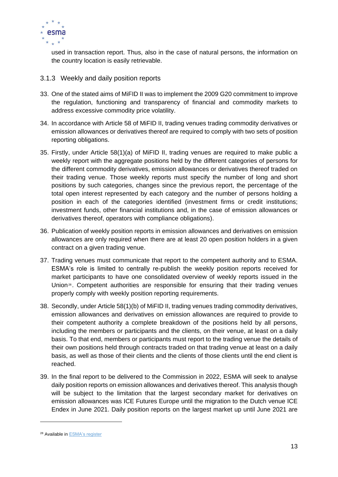

used in transaction report. Thus, also in the case of natural persons, the information on the country location is easily retrievable.

- <span id="page-12-0"></span>3.1.3 Weekly and daily position reports
- 33. One of the stated aims of MiFID II was to implement the 2009 G20 commitment to improve the regulation, functioning and transparency of financial and commodity markets to address excessive commodity price volatility.
- 34. In accordance with Article 58 of MiFID II, trading venues trading commodity derivatives or emission allowances or derivatives thereof are required to comply with two sets of position reporting obligations.
- 35. Firstly, under Article 58(1)(a) of MiFID II, trading venues are required to make public a weekly report with the aggregate positions held by the different categories of persons for the different commodity derivatives, emission allowances or derivatives thereof traded on their trading venue. Those weekly reports must specify the number of long and short positions by such categories, changes since the previous report, the percentage of the total open interest represented by each category and the number of persons holding a position in each of the categories identified (investment firms or credit institutions; investment funds, other financial institutions and, in the case of emission allowances or derivatives thereof, operators with compliance obligations).
- 36. Publication of weekly position reports in emission allowances and derivatives on emission allowances are only required when there are at least 20 open position holders in a given contract on a given trading venue.
- 37. Trading venues must communicate that report to the competent authority and to ESMA. ESMA's role is limited to centrally re-publish the weekly position reports received for market participants to have one consolidated overview of weekly reports issued in the Union<sup>28</sup>. Competent authorities are responsible for ensuring that their trading venues properly comply with weekly position reporting requirements.
- 38. Secondly, under Article 58(1)(b) of MiFID II, trading venues trading commodity derivatives, emission allowances and derivatives on emission allowances are required to provide to their competent authority a complete breakdown of the positions held by all persons, including the members or participants and the clients, on their venue, at least on a daily basis. To that end, members or participants must report to the trading venue the details of their own positions held through contracts traded on that trading venue at least on a daily basis, as well as those of their clients and the clients of those clients until the end client is reached.
- 39. In the final report to be delivered to the Commission in 2022, ESMA will seek to analyse daily position reports on emission allowances and derivatives thereof. This analysis though will be subject to the limitation that the largest secondary market for derivatives on emission allowances was ICE Futures Europe until the migration to the Dutch venue ICE Endex in June 2021. Daily position reports on the largest market up until June 2021 are

<sup>28</sup> Available in [ESMA's register](https://registers.esma.europa.eu/publication/searchRegister?core=esma_registers_coder58)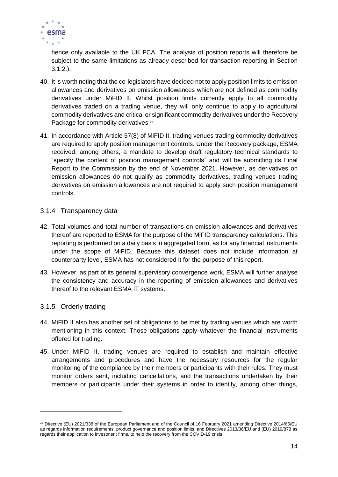

hence only available to the UK FCA. The analysis of position reports will therefore be subject to the same limitations as already described for transaction reporting in Section 3.1.2.).

- 40. It is worth noting that the co-legislators have decided not to apply position limits to emission allowances and derivatives on emission allowances which are not defined as commodity derivatives under MiFID II. Whilst position limits currently apply to all commodity derivatives traded on a trading venue, they will only continue to apply to agricultural commodity derivatives and critical or significant commodity derivatives under the Recovery Package for commodity derivatives.<sup>29</sup>
- 41. In accordance with Article 57(8) of MiFID II, trading venues trading commodity derivatives are required to apply position management controls. Under the Recovery package, ESMA received, among others, a mandate to develop draft regulatory technical standards to "specify the content of position management controls" and will be submitting its Final Report to the Commission by the end of November 2021. However, as derivatives on emission allowances do not qualify as commodity derivatives, trading venues trading derivatives on emission allowances are not required to apply such position management controls.

### <span id="page-13-0"></span>3.1.4 Transparency data

- 42. Total volumes and total number of transactions on emission allowances and derivatives thereof are reported to ESMA for the purpose of the MiFID transparency calculations. This reporting is performed on a daily basis in aggregated form, as for any financial instruments under the scope of MiFID. Because this dataset does not include information at counterparty level, ESMA has not considered it for the purpose of this report.
- 43. However, as part of its general supervisory convergence work, ESMA will further analyse the consistency and accuracy in the reporting of emission allowances and derivatives thereof to the relevant ESMA IT systems.

### <span id="page-13-1"></span>3.1.5 Orderly trading

- 44. MiFID II also has another set of obligations to be met by trading venues which are worth mentioning in this context. Those obligations apply whatever the financial instruments offered for trading.
- 45. Under MiFID II, trading venues are required to establish and maintain effective arrangements and procedures and have the necessary resources for the regular monitoring of the compliance by their members or participants with their rules. They must monitor orders sent, including cancellations, and the transactions undertaken by their members or participants under their systems in order to identify, among other things,

<sup>&</sup>lt;sup>29</sup> Directive (EU) 2021/338 of the European Parliament and of the Council of 16 February 2021 amending Directive 2014/65/EU as regards information requirements, product governance and position limits, and Directives 2013/36/EU and (EU) 2019/878 as regards their application to investment firms, to help the recovery from the COVID-19 crisis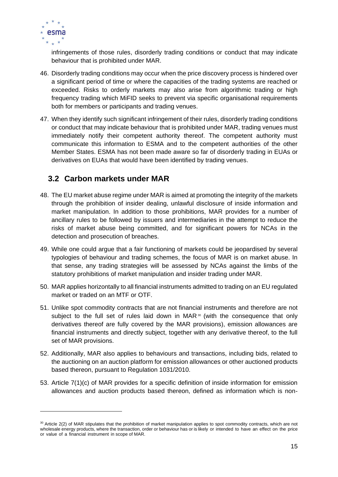

infringements of those rules, disorderly trading conditions or conduct that may indicate behaviour that is prohibited under MAR.

- 46. Disorderly trading conditions may occur when the price discovery process is hindered over a significant period of time or where the capacities of the trading systems are reached or exceeded. Risks to orderly markets may also arise from algorithmic trading or high frequency trading which MiFID seeks to prevent via specific organisational requirements both for members or participants and trading venues.
- 47. When they identify such significant infringement of their rules, disorderly trading conditions or conduct that may indicate behaviour that is prohibited under MAR, trading venues must immediately notify their competent authority thereof. The competent authority must communicate this information to ESMA and to the competent authorities of the other Member States. ESMA has not been made aware so far of disorderly trading in EUAs or derivatives on EUAs that would have been identified by trading venues.

### <span id="page-14-0"></span>**3.2 Carbon markets under MAR**

- 48. The EU market abuse regime under MAR is aimed at promoting the integrity of the markets through the prohibition of insider dealing, unlawful disclosure of inside information and market manipulation. In addition to those prohibitions, MAR provides for a number of ancillary rules to be followed by issuers and intermediaries in the attempt to reduce the risks of market abuse being committed, and for significant powers for NCAs in the detection and prosecution of breaches.
- 49. While one could argue that a fair functioning of markets could be jeopardised by several typologies of behaviour and trading schemes, the focus of MAR is on market abuse. In that sense, any trading strategies will be assessed by NCAs against the limbs of the statutory prohibitions of market manipulation and insider trading under MAR.
- 50. MAR applies horizontally to all financial instruments admitted to trading on an EU regulated market or traded on an MTF or OTF.
- 51. Unlike spot commodity contracts that are not financial instruments and therefore are not subject to the full set of rules laid down in  $MAR$ <sup>30</sup> (with the consequence that only derivatives thereof are fully covered by the MAR provisions), emission allowances are financial instruments and directly subject, together with any derivative thereof, to the full set of MAR provisions.
- 52. Additionally, MAR also applies to behaviours and transactions, including bids, related to the auctioning on an auction platform for emission allowances or other auctioned products based thereon, pursuant to Regulation 1031/2010.
- 53. Article 7(1)(c) of MAR provides for a specific definition of inside information for emission allowances and auction products based thereon, defined as information which is non-

<sup>30</sup> Article 2(2) of MAR stipulates that the prohibition of market manipulation applies to spot commodity contracts, which are not wholesale energy products, where the transaction, order or behaviour has or is likely or intended to have an effect on the price or value of a financial instrument in scope of MAR.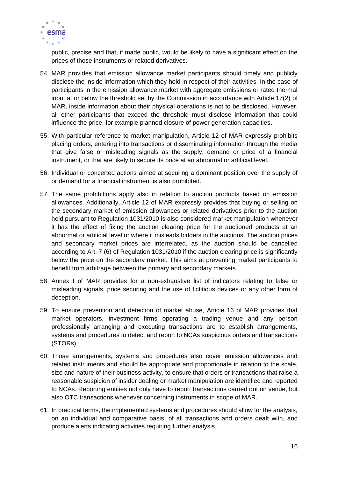

public, precise and that, if made public, would be likely to have a significant effect on the prices of those instruments or related derivatives.

- 54. MAR provides that emission allowance market participants should timely and publicly disclose the inside information which they hold in respect of their activities. In the case of participants in the emission allowance market with aggregate emissions or rated thermal input at or below the threshold set by the Commission in accordance with Article 17(2) of MAR, inside information about their physical operations is not to be disclosed. However, all other participants that exceed the threshold must disclose information that could influence the price, for example planned closure of power generation capacities.
- 55. With particular reference to market manipulation, Article 12 of MAR expressly prohibits placing orders, entering into transactions or disseminating information through the media that give false or misleading signals as the supply, demand or price of a financial instrument, or that are likely to secure its price at an abnormal or artificial level.
- 56. Individual or concerted actions aimed at securing a dominant position over the supply of or demand for a financial instrument is also prohibited.
- 57. The same prohibitions apply also in relation to auction products based on emission allowances. Additionally, Article 12 of MAR expressly provides that buying or selling on the secondary market of emission allowances or related derivatives prior to the auction held pursuant to Regulation 1031/2010 is also considered market manipulation whenever it has the effect of fixing the auction clearing price for the auctioned products at an abnormal or artificial level or where it misleads bidders in the auctions. The auction prices and secondary market prices are interrelated, as the auction should be cancelled according to Art. 7 (6) of Regulation 1031/2010 if the auction clearing price is significantly below the price on the secondary market. This aims at preventing market participants to benefit from arbitrage between the primary and secondary markets.
- 58. Annex I of MAR provides for a non-exhaustive list of indicators relating to false or misleading signals, price securing and the use of fictitious devices or any other form of deception.
- 59. To ensure prevention and detection of market abuse, Article 16 of MAR provides that market operators, investment firms operating a trading venue and any person professionally arranging and executing transactions are to establish arrangements, systems and procedures to detect and report to NCAs suspicious orders and transactions (STORs).
- 60. Those arrangements, systems and procedures also cover emission allowances and related instruments and should be appropriate and proportionate in relation to the scale, size and nature of their business activity, to ensure that orders or transactions that raise a reasonable suspicion of insider dealing or market manipulation are identified and reported to NCAs. Reporting entities not only have to report transactions carried out on venue, but also OTC transactions whenever concerning instruments in scope of MAR.
- 61. In practical terms, the implemented systems and procedures should allow for the analysis, on an individual and comparative basis, of all transactions and orders dealt with, and produce alerts indicating activities requiring further analysis.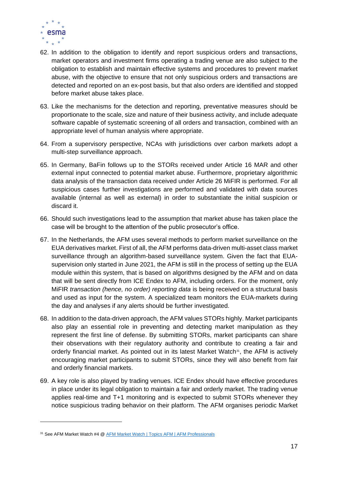

- 62. In addition to the obligation to identify and report suspicious orders and transactions, market operators and investment firms operating a trading venue are also subject to the obligation to establish and maintain effective systems and procedures to prevent market abuse, with the objective to ensure that not only suspicious orders and transactions are detected and reported on an ex-post basis, but that also orders are identified and stopped before market abuse takes place.
- 63. Like the mechanisms for the detection and reporting, preventative measures should be proportionate to the scale, size and nature of their business activity, and include adequate software capable of systematic screening of all orders and transaction, combined with an appropriate level of human analysis where appropriate.
- 64. From a supervisory perspective, NCAs with jurisdictions over carbon markets adopt a multi-step surveillance approach.
- 65. In Germany, BaFin follows up to the STORs received under Article 16 MAR and other external input connected to potential market abuse. Furthermore, proprietary algorithmic data analysis of the transaction data received under Article 26 MiFIR is performed. For all suspicious cases further investigations are performed and validated with data sources available (internal as well as external) in order to substantiate the initial suspicion or discard it.
- 66. Should such investigations lead to the assumption that market abuse has taken place the case will be brought to the attention of the public prosecutor's office.
- 67. In the Netherlands, the AFM uses several methods to perform market surveillance on the EUA derivatives market. First of all, the AFM performs data-driven multi-asset class market surveillance through an algorithm-based surveillance system. Given the fact that EUAsupervision only started in June 2021, the AFM is still in the process of setting up the EUA module within this system, that is based on algorithms designed by the AFM and on data that will be sent directly from ICE Endex to AFM, including orders. For the moment, only MiFIR *transaction (hence, no order) reporting data* is being received on a structural basis and used as input for the system. A specialized team monitors the EUA-markets during the day and analyses if any alerts should be further investigated.
- 68. In addition to the data-driven approach, the AFM values STORs highly. Market participants also play an essential role in preventing and detecting market manipulation as they represent the first line of defense. By submitting STORs, market participants can share their observations with their regulatory authority and contribute to creating a fair and orderly financial market. As pointed out in its latest Market Watch<sup>31</sup>, the AFM is actively encouraging market participants to submit STORs, since they will also benefit from fair and orderly financial markets.
- 69. A key role is also played by trading venues. ICE Endex should have effective procedures in place under its legal obligation to maintain a fair and orderly market. The trading venue applies real-time and T+1 monitoring and is expected to submit STORs whenever they notice suspicious trading behavior on their platform. The AFM organises periodic Market

<sup>31</sup> See AFM Market Watch #4 @ [AFM Market Watch | Topics AFM | AFM Professionals](https://www.afm.nl/en/professionals/onderwerpen/afm-market-watch)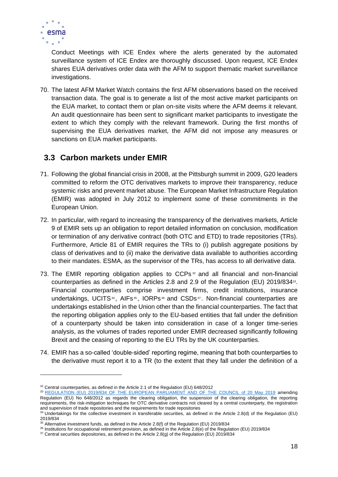

Conduct Meetings with ICE Endex where the alerts generated by the automated surveillance system of ICE Endex are thoroughly discussed. Upon request, ICE Endex shares EUA derivatives order data with the AFM to support thematic market surveillance investigations.

70. The latest AFM Market Watch contains the first AFM observations based on the received transaction data. The goal is to generate a list of the most active market participants on the EUA market, to contact them or plan on-site visits where the AFM deems it relevant. An audit questionnaire has been sent to significant market participants to investigate the extent to which they comply with the relevant framework. During the first months of supervising the EUA derivatives market, the AFM did not impose any measures or sanctions on EUA market participants.

### <span id="page-17-0"></span>**3.3 Carbon markets under EMIR**

- 71. Following the global financial crisis in 2008, at the Pittsburgh summit in 2009, G20 leaders committed to reform the OTC derivatives markets to improve their transparency, reduce systemic risks and prevent market abuse. The European Market Infrastructure Regulation (EMIR) was adopted in July 2012 to implement some of these commitments in the European Union.
- 72. In particular, with regard to increasing the transparency of the derivatives markets, Article 9 of EMIR sets up an obligation to report detailed information on conclusion, modification or termination of any derivative contract (both OTC and ETD) to trade repositories (TRs). Furthermore, Article 81 of EMIR requires the TRs to (i) publish aggregate positions by class of derivatives and to (ii) make the derivative data available to authorities according to their mandates. ESMA, as the supervisor of the TRs, has access to all derivative data.
- 73. The EMIR reporting obligation applies to CCPs<sup>32</sup> and all financial and non-financial counterparties as defined in the Articles 2.8 and 2.9 of the Regulation (EU) 2019/834<sup>33</sup>. Financial counterparties comprise investment firms, credit institutions, insurance undertakings, UCITS $34$ , AIFs $35$ , IORPs $36$  and CSDs $37$ . Non-financial counterparties are undertakings established in the Union other than the financial counterparties. The fact that the reporting obligation applies only to the EU-based entities that fall under the definition of a counterparty should be taken into consideration in case of a longer time-series analysis, as the volumes of trades reported under EMIR decreased significantly following Brexit and the ceasing of reporting to the EU TRs by the UK counterparties.
- 74. EMIR has a so-called 'double-sided' reporting regime, meaning that both counterparties to the derivative must report it to a TR (to the extent that they fall under the definition of a

<sup>&</sup>lt;sup>32</sup> Central counterparties, as defined in the Article 2.1 of the Regulation (EU) 648/2012

<sup>33</sup> [REGULATION \(EU\) 2019/834 OF THE EUROPEAN PARLIAMENT AND OF THE COUNCIL of 20 May 2019](https://eur-lex.europa.eu/legal-content/EN/TXT/PDF/?uri=CELEX:32019R0834&from=EN) amending Regulation (EU) No 648/2012 as regards the clearing obligation, the suspension of the clearing obligation, the reporting requirements, the risk-mitigation techniques for OTC derivative contracts not cleared by a central counterparty, the registration and supervision of trade repositories and the requirements for trade repositories

<sup>&</sup>lt;sup>34</sup> Undertakings for the collective investment in transferable securities, as defined in the Article 2.8(d) of the Regulation (EU) 2019/834

<sup>&</sup>lt;sup>35</sup> Alternative investment funds, as defined in the Article 2.8(f) of the Regulation (EU) 2019/834

<sup>36</sup> Institutions for occupational retirement provision, as defined in the Article 2.8(e) of the Regulation (EU) 2019/834

 $37$  Central securities depositories, as defined in the Article 2.8(g) of the Regulation (EU) 2019/834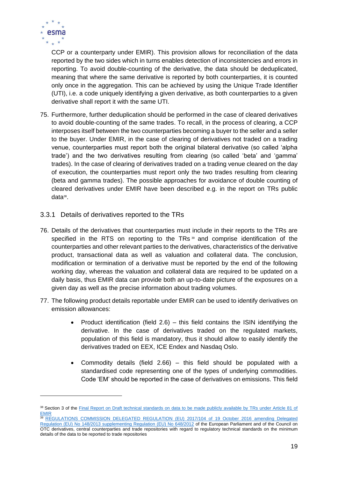

CCP or a counterparty under EMIR). This provision allows for reconciliation of the data reported by the two sides which in turns enables detection of inconsistencies and errors in reporting. To avoid double-counting of the derivative, the data should be deduplicated, meaning that where the same derivative is reported by both counterparties, it is counted only once in the aggregation. This can be achieved by using the Unique Trade Identifier (UTI), i.e. a code uniquely identifying a given derivative, as both counterparties to a given derivative shall report it with the same UTI.

- 75. Furthermore, further deduplication should be performed in the case of cleared derivatives to avoid double-counting of the same trades. To recall, in the process of clearing, a CCP interposes itself between the two counterparties becoming a buyer to the seller and a seller to the buyer. Under EMIR, in the case of clearing of derivatives not traded on a trading venue, counterparties must report both the original bilateral derivative (so called 'alpha trade') and the two derivatives resulting from clearing (so called 'beta' and 'gamma' trades). In the case of clearing of derivatives traded on a trading venue cleared on the day of execution, the counterparties must report only the two trades resulting from clearing (beta and gamma trades). The possible approaches for avoidance of double counting of cleared derivatives under EMIR have been described e.g. in the report on TRs public data<sup>38</sup>.
- <span id="page-18-0"></span>3.3.1 Details of derivatives reported to the TRs
- 76. Details of the derivatives that counterparties must include in their reports to the TRs are specified in the RTS on reporting to the TRs<sup>39</sup> and comprise identification of the counterparties and other relevant parties to the derivatives, characteristics of the derivative product, transactional data as well as valuation and collateral data. The conclusion, modification or termination of a derivative must be reported by the end of the following working day, whereas the valuation and collateral data are required to be updated on a daily basis, thus EMIR data can provide both an up-to-date picture of the exposures on a given day as well as the precise information about trading volumes.
- 77. The following product details reportable under EMIR can be used to identify derivatives on emission allowances:
	- Product identification (field  $2.6$ ) this field contains the ISIN identifying the derivative. In the case of derivatives traded on the regulated markets, population of this field is mandatory, thus it should allow to easily identify the derivatives traded on EEX, ICE Endex and Nasdaq Oslo.
	- Commodity details (field 2.66) this field should be populated with a standardised code representing one of the types of underlying commodities. Code 'EM' should be reported in the case of derivatives on emissions. This field

<sup>38</sup> Section 3 of the Final Report on Draft technical standards on data to be made publicly available by TRs under Article 81 of [EMIR](https://www.esma.europa.eu/sites/default/files/library/esma70-151-370_final_report_tr_public_data_under_emir.pdf)

<sup>39</sup> REGULATIONS COMMISSION DELEGATED REGULATION (EU) 2017/104 of 19 October 2016 amending Delegated [Regulation \(EU\) No 148/2013 supplementing Regulation \(EU\) No 648/2012](https://eur-lex.europa.eu/legal-content/EN/TXT/PDF/?uri=CELEX:32017R0104&from=EN) of the European Parliament and of the Council on OTC derivatives, central counterparties and trade repositories with regard to regulatory technical standards on the minimum details of the data to be reported to trade repositories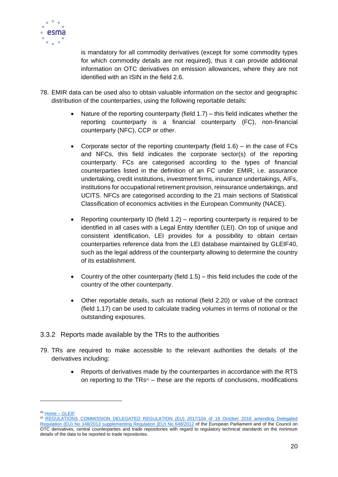

is mandatory for all commodity derivatives (except for some commodity types for which commodity details are not required), thus it can provide additional information on OTC derivatives on emission allowances, where they are not identified with an ISIN in the field 2.6.

- 78. EMIR data can be used also to obtain valuable information on the sector and geographic distribution of the counterparties, using the following reportable details:
	- Nature of the reporting counterparty (field  $1.7$ ) this field indicates whether the reporting counterparty is a financial counterparty (FC), non-financial counterparty (NFC), CCP or other.
	- Corporate sector of the reporting counterparty (field  $1.6$ ) in the case of FCs and NFCs, this field indicates the corporate sector(s) of the reporting counterparty. FCs are categorised according to the types of financial counterparties listed in the definition of an FC under EMIR, i.e. assurance undertaking, credit institutions, investment firms, insurance undertakings, AIFs, institutions for occupational retirement provision, reinsurance undertakings, and UCITS. NFCs are categorised according to the 21 main sections of Statistical Classification of economics activities in the European Community (NACE).
	- Reporting counterparty ID (field  $1.2$ ) reporting counterparty is required to be identified in all cases with a Legal Entity Identifier (LEI). On top of unique and consistent identification, LEI provides for a possibility to obtain certain counterparties reference data from the LEI database maintained by GLEIF40, such as the legal address of the counterparty allowing to determine the country of its establishment.
	- Country of the other counterparty (field  $1.5$ ) this field includes the code of the country of the other counterparty.
	- Other reportable details, such as notional (field 2.20) or value of the contract (field 1.17) can be used to calculate trading volumes in terms of notional or the outstanding exposures.
- <span id="page-19-0"></span>3.3.2 Reports made available by the TRs to the authorities
- 79. TRs are required to make accessible to the relevant authorities the details of the derivatives including:
	- Reports of derivatives made by the counterparties in accordance with the RTS on reporting to the  $TRs<sup>41</sup> -$  these are the reports of conclusions, modifications

<sup>40</sup> [Home –](https://www.gleif.org/en/) GLEIF

<sup>41</sup> [REGULATIONS COMMISSION DELEGATED REGULATION \(EU\) 2017/104 of 19 October 2016 amending Delegated](https://eur-lex.europa.eu/legal-content/EN/TXT/PDF/?uri=CELEX:32017R0104&from=EN)  [Regulation \(EU\) No 148/2013 supplementing Regulation \(EU\) No 648/2012](https://eur-lex.europa.eu/legal-content/EN/TXT/PDF/?uri=CELEX:32017R0104&from=EN) of the European Parliament and of the Council on OTC derivatives, central counterparties and trade repositories with regard to regulatory technical standards on the minimum details of the data to be reported to trade repositories.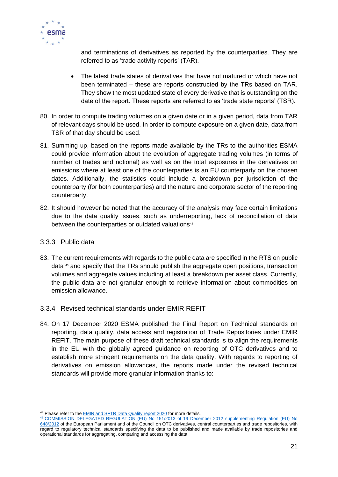

and terminations of derivatives as reported by the counterparties. They are referred to as 'trade activity reports' (TAR).

- The latest trade states of derivatives that have not matured or which have not been terminated – these are reports constructed by the TRs based on TAR. They show the most updated state of every derivative that is outstanding on the date of the report. These reports are referred to as 'trade state reports' (TSR).
- 80. In order to compute trading volumes on a given date or in a given period, data from TAR of relevant days should be used. In order to compute exposure on a given date, data from TSR of that day should be used.
- 81. Summing up, based on the reports made available by the TRs to the authorities ESMA could provide information about the evolution of aggregate trading volumes (in terms of number of trades and notional) as well as on the total exposures in the derivatives on emissions where at least one of the counterparties is an EU counterparty on the chosen dates. Additionally, the statistics could include a breakdown per jurisdiction of the counterparty (for both counterparties) and the nature and corporate sector of the reporting counterparty.
- 82. It should however be noted that the accuracy of the analysis may face certain limitations due to the data quality issues, such as underreporting, lack of reconciliation of data between the counterparties or outdated valuations<sup>42</sup>.

### <span id="page-20-0"></span>3.3.3 Public data

- 83. The current requirements with regards to the public data are specified in the RTS on public data <sup>43</sup> and specify that the TRs should publish the aggregate open positions, transaction volumes and aggregate values including at least a breakdown per asset class. Currently, the public data are not granular enough to retrieve information about commodities on emission allowance.
- <span id="page-20-1"></span>3.3.4 Revised technical standards under EMIR REFIT
- 84. On 17 December 2020 ESMA published the Final Report on Technical standards on reporting, data quality, data access and registration of Trade Repositories under EMIR REFIT. The main purpose of these draft technical standards is to align the requirements in the EU with the globally agreed guidance on reporting of OTC derivatives and to establish more stringent requirements on the data quality. With regards to reporting of derivatives on emission allowances, the reports made under the revised technical standards will provide more granular information thanks to:

<sup>&</sup>lt;sup>42</sup> Please refer to the [EMIR and SFTR Data Quality report 2020](https://www.esma.europa.eu/sites/default/files/library/esma80-193-1713_emir_and_sftr_data_quality_report.pdf) for more details.

<sup>43</sup> [COMMISSION DELEGATED REGULATION \(EU\) No 151/2013 of 19 December 2012 supplementing Regulation \(EU\) No](https://eur-lex.europa.eu/LexUriServ/LexUriServ.do?uri=OJ:L:2013:052:0033:0036:EN:PDF)  [648/2012](https://eur-lex.europa.eu/LexUriServ/LexUriServ.do?uri=OJ:L:2013:052:0033:0036:EN:PDF) of the European Parliament and of the Council on OTC derivatives, central counterparties and trade repositories, with regard to regulatory technical standards specifying the data to be published and made available by trade repositories and operational standards for aggregating, comparing and accessing the data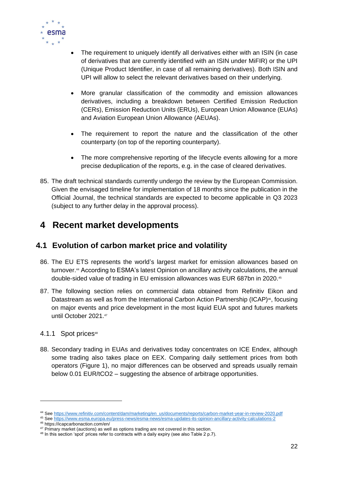

- The requirement to uniquely identify all derivatives either with an ISIN (in case of derivatives that are currently identified with an ISIN under MiFIR) or the UPI (Unique Product Identifier, in case of all remaining derivatives). Both ISIN and UPI will allow to select the relevant derivatives based on their underlying.
- More granular classification of the commodity and emission allowances derivatives, including a breakdown between Certified Emission Reduction (CERs), Emission Reduction Units (ERUs), European Union Allowance (EUAs) and Aviation European Union Allowance (AEUAs).
- The requirement to report the nature and the classification of the other counterparty (on top of the reporting counterparty).
- The more comprehensive reporting of the lifecycle events allowing for a more precise deduplication of the reports, e.g. in the case of cleared derivatives.
- 85. The draft technical standards currently undergo the review by the European Commission. Given the envisaged timeline for implementation of 18 months since the publication in the Official Journal, the technical standards are expected to become applicable in Q3 2023 (subject to any further delay in the approval process).

# <span id="page-21-0"></span>**4 Recent market developments**

### <span id="page-21-1"></span>**4.1 Evolution of carbon market price and volatility**

- 86. The EU ETS represents the world's largest market for emission allowances based on turnover.<sup>44</sup> According to ESMA's latest Opinion on ancillary activity calculations, the annual double-sided value of trading in EU emission allowances was EUR 687bn in 2020.<sup>45</sup>
- 87. The following section relies on commercial data obtained from Refinitiv Eikon and Datastream as well as from the International Carbon Action Partnership (ICAP)<sup>46</sup>, focusing on major events and price development in the most liquid EUA spot and futures markets until October 2021.<sup>47</sup>

### <span id="page-21-2"></span>4.1.1 Spot prices<sup>48</sup>

88. Secondary trading in EUAs and derivatives today concentrates on ICE Endex, although some trading also takes place on EEX. Comparing daily settlement prices from both operators (Figure 1), no major differences can be observed and spreads usually remain below 0.01 EUR/tCO2 – suggesting the absence of arbitrage opportunities.

<sup>44</sup> See [https://www.refinitiv.com/content/dam/marketing/en\\_us/documents/reports/carbon-market-year-in-review-2020.pdf](https://www.refinitiv.com/content/dam/marketing/en_us/documents/reports/carbon-market-year-in-review-2020.pdf)

<sup>45</sup> See <https://www.esma.europa.eu/press-news/esma-news/esma-updates-its-opinion-ancillary-activity-calculations-2>

<sup>46</sup> https://icapcarbonaction.com/en/

<sup>&</sup>lt;sup>47</sup> Primary market (auctions) as well as options trading are not covered in this section.

<sup>&</sup>lt;sup>48</sup> In this section 'spot' prices refer to contracts with a daily expiry (see also Table 2 p.7).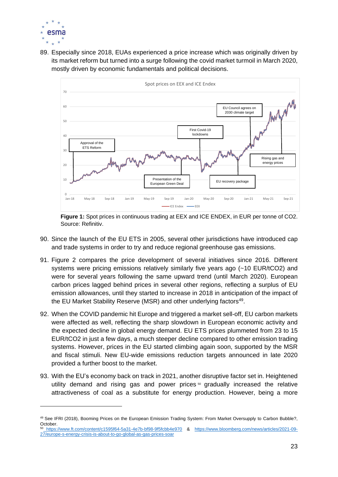

89. Especially since 2018, EUAs experienced a price increase which was originally driven by its market reform but turned into a surge following the covid market turmoil in March 2020, mostly driven by economic fundamentals and political decisions.



**Figure 1:** Spot prices in continuous trading at EEX and ICE ENDEX, in EUR per tonne of CO2. Source: Refinitiv.

- 90. Since the launch of the EU ETS in 2005, several other jurisdictions have introduced cap and trade systems in order to try and reduce regional greenhouse gas emissions.
- 91. Figure 2 compares the price development of several initiatives since 2016. Different systems were pricing emissions relatively similarly five years ago (~10 EUR/tCO2) and were for several years following the same upward trend (until March 2020). European carbon prices lagged behind prices in several other regions, reflecting a surplus of EU emission allowances, until they started to increase in 2018 in anticipation of the impact of the EU Market Stability Reserve (MSR) and other underlying factors<sup>49</sup>.
- 92. When the COVID pandemic hit Europe and triggered a market sell-off, EU carbon markets were affected as well, reflecting the sharp slowdown in European economic activity and the expected decline in global energy demand. EU ETS prices plummeted from 23 to 15 EUR/tCO2 in just a few days, a much steeper decline compared to other emission trading systems. However, prices in the EU started climbing again soon, supported by the MSR and fiscal stimuli. New EU-wide emissions reduction targets announced in late 2020 provided a further boost to the market.
- 93. With the EU's economy back on track in 2021, another disruptive factor set in. Heightened utility demand and rising gas and power prices  $50$  gradually increased the relative attractiveness of coal as a substitute for energy production. However, being a more

<sup>49</sup> See IFRI (2018), Booming Prices on the European Emission Trading System: From Market Oversupply to Carbon Bubble?, October. <sup>50</sup> <https://www.ft.com/content/c1595f64-5a31-4e7b-bf98-9f5fcbb4e970> & [https://www.bloomberg.com/news/articles/2021-09-](https://www.bloomberg.com/news/articles/2021-09-27/europe-s-energy-crisis-is-about-to-go-global-as-gas-prices-soar) [27/europe-s-energy-crisis-is-about-to-go-global-as-gas-prices-soar](https://www.bloomberg.com/news/articles/2021-09-27/europe-s-energy-crisis-is-about-to-go-global-as-gas-prices-soar)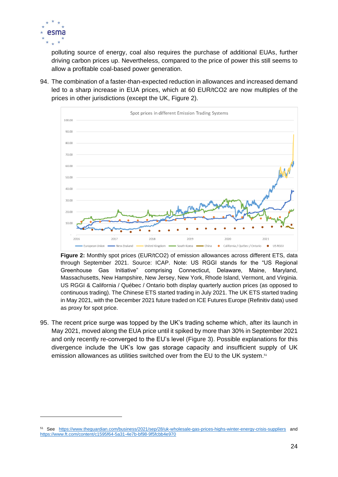

polluting source of energy, coal also requires the purchase of additional EUAs, further driving carbon prices up. Nevertheless, compared to the price of power this still seems to allow a profitable coal-based power generation.

94. The combination of a faster-than-expected reduction in allowances and increased demand led to a sharp increase in EUA prices, which at 60 EUR/tCO2 are now multiples of the prices in other jurisdictions (except the UK, Figure 2).



**Figure 2:** Monthly spot prices (EUR/tCO2) of emission allowances across different ETS, data through September 2021. Source: ICAP. Note: US RGGI stands for the "US Regional Greenhouse Gas Initiative" comprising Connecticut, Delaware, Maine, Maryland, Massachusetts, New Hampshire, New Jersey, New York, Rhode Island, Vermont, and Virginia. US RGGI & California / Québec / Ontario both display quarterly auction prices (as opposed to continuous trading). The Chinese ETS started trading in July 2021. The UK ETS started trading in May 2021, with the December 2021 future traded on ICE Futures Europe (Refinitiv data) used as proxy for spot price.

95. The recent price surge was topped by the UK's trading scheme which, after its launch in May 2021, moved along the EUA price until it spiked by more than 30% in September 2021 and only recently re-converged to the EU's level (Figure 3). Possible explanations for this divergence include the UK's low gas storage capacity and insufficient supply of UK emission allowances as utilities switched over from the EU to the UK system.<sup>51</sup>

<sup>51</sup> See <https://www.theguardian.com/business/2021/sep/28/uk-wholesale-gas-prices-highs-winter-energy-crisis-suppliers> and <https://www.ft.com/content/c1595f64-5a31-4e7b-bf98-9f5fcbb4e970>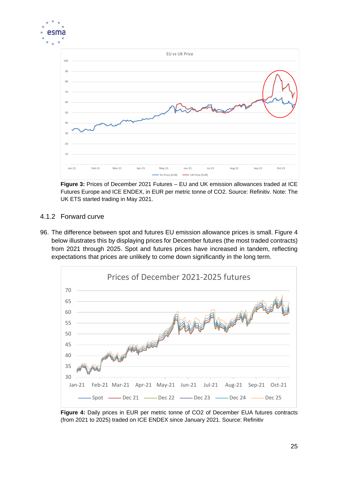

**Figure 3:** Prices of December 2021 Futures – EU and UK emission allowances traded at ICE Futures Europe and ICE ENDEX, in EUR per metric tonne of CO2. Source: Refinitiv. Note: The UK ETS started trading in May 2021.

### <span id="page-24-0"></span>4.1.2 Forward curve

96. The difference between spot and futures EU emission allowance prices is small. Figure 4 below illustrates this by displaying prices for December futures (the most traded contracts) from 2021 through 2025. Spot and futures prices have increased in tandem, reflecting expectations that prices are unlikely to come down significantly in the long term.



**Figure 4:** Daily prices in EUR per metric tonne of CO2 of December EUA futures contracts (from 2021 to 2025) traded on ICE ENDEX since January 2021. Source: Refinitiv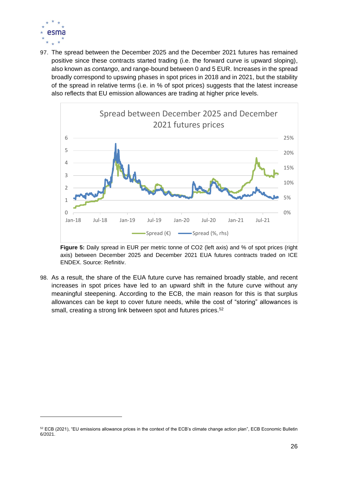

97. The spread between the December 2025 and the December 2021 futures has remained positive since these contracts started trading (i.e. the forward curve is upward sloping), also known as *contango*, and range-bound between 0 and 5 EUR. Increases in the spread broadly correspond to upswing phases in spot prices in 2018 and in 2021, but the stability of the spread in relative terms (i.e. in % of spot prices) suggests that the latest increase also reflects that EU emission allowances are trading at higher price levels.



**Figure 5:** Daily spread in EUR per metric tonne of CO2 (left axis) and % of spot prices (right axis) between December 2025 and December 2021 EUA futures contracts traded on ICE ENDEX. Source: Refinitiv.

98. As a result, the share of the EUA future curve has remained broadly stable, and recent increases in spot prices have led to an upward shift in the future curve without any meaningful steepening. According to the ECB, the main reason for this is that surplus allowances can be kept to cover future needs, while the cost of "storing" allowances is small, creating a strong link between spot and futures prices.<sup>52</sup>

 $52$  ECB (2021), "EU emissions allowance prices in the context of the ECB's climate change action plan", ECB Economic Bulletin 6/2021.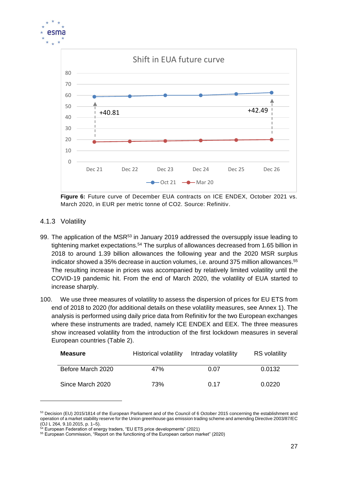

**Figure 6:** Future curve of December EUA contracts on ICE ENDEX, October 2021 vs. March 2020, in EUR per metric tonne of CO2. Source: Refinitiv.

- <span id="page-26-0"></span>4.1.3 Volatility
- 99. The application of the MSR<sup>53</sup> in January 2019 addressed the oversupply issue leading to tightening market expectations.<sup>54</sup> The surplus of allowances decreased from 1.65 billion in 2018 to around 1.39 billion allowances the following year and the 2020 MSR surplus indicator showed a 35% decrease in auction volumes, i.e. around 375 million allowances. 55 The resulting increase in prices was accompanied by relatively limited volatility until the COVID-19 pandemic hit. From the end of March 2020, the volatility of EUA started to increase sharply.
- 100. We use three measures of volatility to assess the dispersion of prices for EU ETS from end of 2018 to 2020 (for additional details on these volatility measures, see Annex 1). The analysis is performed using daily price data from Refinitiv for the two European exchanges where these instruments are traded, namely ICE ENDEX and EEX. The three measures show increased volatility from the introduction of the first lockdown measures in several European countries (Table 2).

| <b>Measure</b>    | Historical volatility | Intraday volatility | <b>RS</b> volatility |
|-------------------|-----------------------|---------------------|----------------------|
| Before March 2020 | 47%                   | 0.07                | 0.0132               |
| Since March 2020  | 73%                   | 0.17                | 0.0220               |

<sup>53</sup> Decision (EU) 2015/1814 of the European Parliament and of the Council of 6 October 2015 concerning the establishment and operation of a market stability reserve for the Union greenhouse gas emission trading scheme and amending Directive 2003/87/EC (OJ L 264, 9.10.2015, p. 1–5).

European Federation of energy traders, "EU ETS price developments" (2021)

<sup>55</sup> European Commission, "Report on the functioning of the European carbon market" (2020)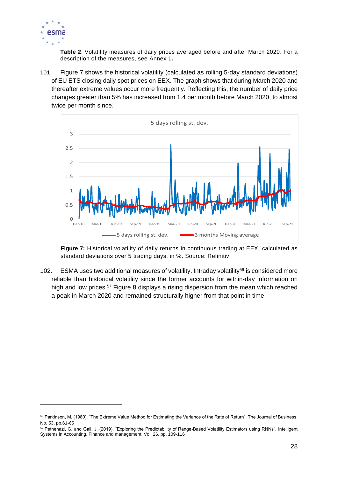

**Table 2**: Volatility measures of daily prices averaged before and after March 2020. For a description of the measures, see Annex 1**.** 

101. Figure 7 shows the historical volatility (calculated as rolling 5-day standard deviations) of EU ETS closing daily spot prices on EEX. The graph shows that during March 2020 and thereafter extreme values occur more frequently. Reflecting this, the number of daily price changes greater than 5% has increased from 1.4 per month before March 2020, to almost twice per month since.



**Figure 7:** Historical volatility of daily returns in continuous trading at EEX, calculated as standard deviations over 5 trading days, in %. Source: Refinitiv.

102. ESMA uses two additional measures of volatility. Intraday volatility<sup>56</sup> is considered more reliable than historical volatility since the former accounts for within-day information on high and low prices.<sup>57</sup> Figure 8 displays a rising dispersion from the mean which reached a peak in March 2020 and remained structurally higher from that point in time.

<sup>&</sup>lt;sup>56</sup> Parkinson, M. (1980), "The Extreme Value Method for Estimating the Variance of the Rate of Return", The Journal of Business, No. 53, pp.61-65

<sup>57</sup> Petnehazi, G. and Gall, J. (2019), "Exploring the Predictability of Range-Based Volatility Estimators using RNNs", Intelligent Systems in Accounting, Finance and management, Vol. 26, pp. 109-116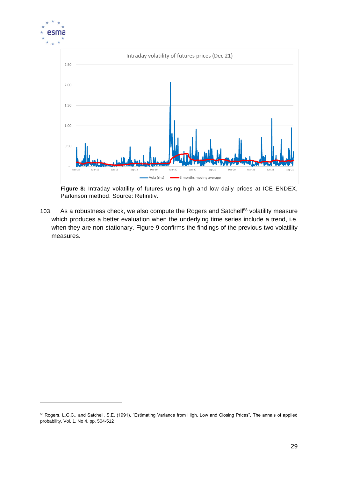

**Figure 8:** Intraday volatility of futures using high and low daily prices at ICE ENDEX, Parkinson method. Source: Refinitiv.

103. As a robustness check, we also compute the Rogers and Satchell<sup>58</sup> volatility measure which produces a better evaluation when the underlying time series include a trend, i.e. when they are non-stationary. Figure 9 confirms the findings of the previous two volatility measures.

<sup>&</sup>lt;sup>58</sup> Rogers, L.G.C., and Satchell, S.E. (1991), "Estimating Variance from High, Low and Closing Prices", The annals of applied probability, Vol. 1, No 4, pp. 504-512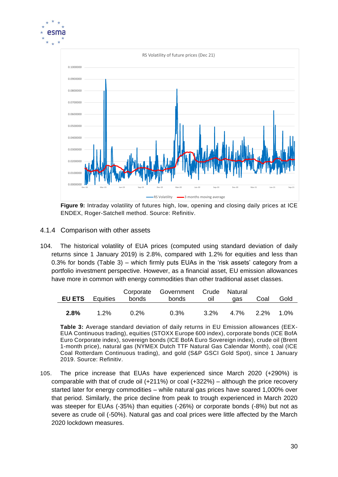

**Figure 9:** Intraday volatility of futures high, low, opening and closing daily prices at ICE ENDEX, Roger-Satchell method. Source: Refinitiv.

### <span id="page-29-0"></span>4.1.4 Comparison with other assets

104. The historical volatility of EUA prices (computed using standard deviation of daily returns since 1 January 2019) is 2.8%, compared with 1.2% for equities and less than 0.3% for bonds (Table 3) – which firmly puts EUAs in the 'risk assets' category from a portfolio investment perspective. However, as a financial asset, EU emission allowances have more in common with energy commodities than other traditional asset classes.

| <b>EU ETS</b> Equities |         | bonds   | Corporate Government Crude Natural<br>bonds | OIL | gas                    | Coal | Gold |
|------------------------|---------|---------|---------------------------------------------|-----|------------------------|------|------|
| 2.8%                   | $1.2\%$ | $0.2\%$ | $0.3\%$                                     |     | $3.2\%$ 4.7% 2.2% 1.0% |      |      |

**Table 3:** Average standard deviation of daily returns in EU Emission allowances (EEX-EUA Continuous trading), equities (STOXX Europe 600 index), corporate bonds (ICE BofA Euro Corporate index), sovereign bonds (ICE BofA Euro Sovereign index), crude oil (Brent 1-month price), natural gas (NYMEX Dutch TTF Natural Gas Calendar Month), coal (ICE Coal Rotterdam Continuous trading), and gold (S&P GSCI Gold Spot), since 1 January 2019. Source: Refinitiv.

105. The price increase that EUAs have experienced since March 2020 (+290%) is comparable with that of crude oil (+211%) or coal (+322%) – although the price recovery started later for energy commodities – while natural gas prices have soared 1,000% over that period. Similarly, the price decline from peak to trough experienced in March 2020 was steeper for EUAs (-35%) than equities (-26%) or corporate bonds (-8%) but not as severe as crude oil (-50%). Natural gas and coal prices were little affected by the March 2020 lockdown measures.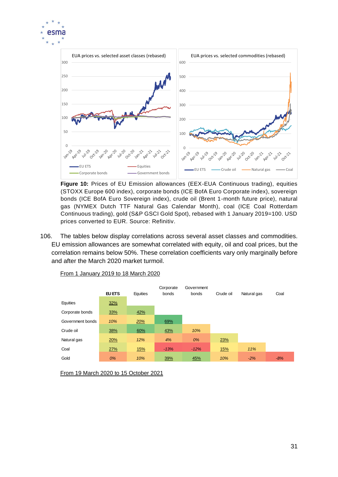



**Figure 10:** Prices of EU Emission allowances (EEX-EUA Continuous trading), equities (STOXX Europe 600 index), corporate bonds (ICE BofA Euro Corporate index), sovereign bonds (ICE BofA Euro Sovereign index), crude oil (Brent 1-month future price), natural gas (NYMEX Dutch TTF Natural Gas Calendar Month), coal (ICE Coal Rotterdam Continuous trading), gold (S&P GSCI Gold Spot), rebased with 1 January 2019=100. USD prices converted to EUR. Source: Refinitiv.

106. The tables below display correlations across several asset classes and commodities. EU emission allowances are somewhat correlated with equity, oil and coal prices, but the correlation remains below 50%. These correlation coefficients vary only marginally before and after the March 2020 market turmoil.



From 1 January 2019 to 18 March 2020

From 19 March 2020 to 15 October 2021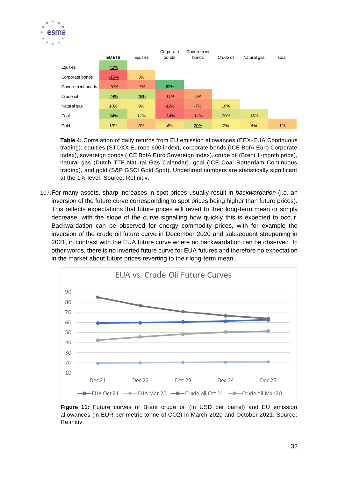

|                  | <b>EU ETS</b> | Equities | Corporate<br>bonds | Government<br>bonds | Crude oil | Natural gas | Coal |
|------------------|---------------|----------|--------------------|---------------------|-----------|-------------|------|
| Equities         | 42%           |          |                    |                     |           |             |      |
| Corporate bonds  | $-15%$        | 3%       |                    |                     |           |             |      |
| Government bonds | $-10%$        | $-7%$    | 62%                |                     |           |             |      |
| Crude oil        | 24%           | 25%      | $-11%$             | $-5%$               |           |             |      |
| Natural gas      | 10%           | 9%       | $-12%$             | $-7%$               | 10%       |             |      |
| Coal             | 34%           | 11%      | $-14%$             | $-11%$              | 20%       | 16%         |      |
| Gold             | 13%           | 0%       | 4%                 | 20%                 | 7%        | 6%          | 1%   |

**Table 4:** Correlation of daily returns from EU emission allowances (EEX-EUA Continuous trading), equities (STOXX Europe 600 index), corporate bonds (ICE BofA Euro Corporate index), sovereign bonds (ICE BofA Euro Sovereign index), crude oil (Brent 1-month price), natural gas (Dutch TTF Natural Gas Calendar), goal (ICE Coal Rotterdam Continuous trading), and gold (S&P GSCI Gold Spot). Underlined numbers are statistically significant at the 1% level. Source: Refinitiv.

107.For many assets, sharp increases in spot prices usually result in *backwardation* (i.e. an inversion of the future curve corresponding to spot prices being higher than future prices). This reflects expectations that future prices will revert to their long-term mean or simply decrease, with the slope of the curve signalling how quickly this is expected to occur. Backwardation can be observed for energy commodity prices, with for example the inversion of the crude oil future curve in December 2020 and subsequent steepening in 2021, in contrast with the EUA future curve where no backwardation can be observed. In other words, there is no inverted future curve for EUA futures and therefore no expectation in the market about future prices reverting to their long-term mean.



**Figure 11:** Future curves of Brent crude oil (in USD per barrel) and EU emission allowances (in EUR per metric tonne of CO2) in March 2020 and October 2021. Source: Refinitiv.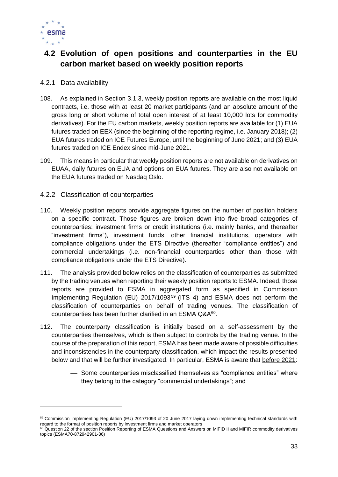

### <span id="page-32-0"></span>**4.2 Evolution of open positions and counterparties in the EU carbon market based on weekly position reports**

### <span id="page-32-1"></span>4.2.1 Data availability

- 108. As explained in Section [3.1.3,](#page-12-0) weekly position reports are available on the most liquid contracts, i.e. those with at least 20 market participants (and an absolute amount of the gross long or short volume of total open interest of at least 10,000 lots for commodity derivatives). For the EU carbon markets, weekly position reports are available for (1) EUA futures traded on EEX (since the beginning of the reporting regime, i.e. January 2018); (2) EUA futures traded on ICE Futures Europe, until the beginning of June 2021; and (3) EUA futures traded on ICE Endex since mid-June 2021.
- 109. This means in particular that weekly position reports are not available on derivatives on EUAA, daily futures on EUA and options on EUA futures. They are also not available on the EUA futures traded on Nasdaq Oslo.
- <span id="page-32-2"></span>4.2.2 Classification of counterparties
- 110. Weekly position reports provide aggregate figures on the number of position holders on a specific contract. Those figures are broken down into five broad categories of counterparties: investment firms or credit institutions (i.e. mainly banks, and thereafter "investment firms"), investment funds, other financial institutions, operators with compliance obligations under the ETS Directive (thereafter "compliance entities") and commercial undertakings (i.e. non-financial counterparties other than those with compliance obligations under the ETS Directive).
- 111. The analysis provided below relies on the classification of counterparties as submitted by the trading venues when reporting their weekly position reports to ESMA. Indeed, those reports are provided to ESMA in aggregated form as specified in Commission Implementing Regulation (EU) 2017/1093<sup>59</sup> (ITS 4) and ESMA does not perform the classification of counterparties on behalf of trading venues. The classification of counterparties has been further clarified in an ESMA  $Q&A^{60}$ .
- 112. The counterparty classification is initially based on a self-assessment by the counterparties themselves, which is then subject to controls by the trading venue. In the course of the preparation of this report, ESMA has been made aware of possible difficulties and inconsistencies in the counterparty classification, which impact the results presented below and that will be further investigated. In particular, ESMA is aware that before 2021:
	- ⎯ Some counterparties misclassified themselves as "compliance entities" where they belong to the category "commercial undertakings"; and

<sup>59</sup> Commission Implementing Regulation (EU) 2017/1093 of 20 June 2017 laying down implementing technical standards with regard to the format of position reports by investment firms and market operators

<sup>&</sup>lt;sup>60</sup> Question 22 of the section Position Reporting of ESMA Questions and Answers on MiFID II and MiFIR commodity derivatives topics (ESMA70-872942901-36)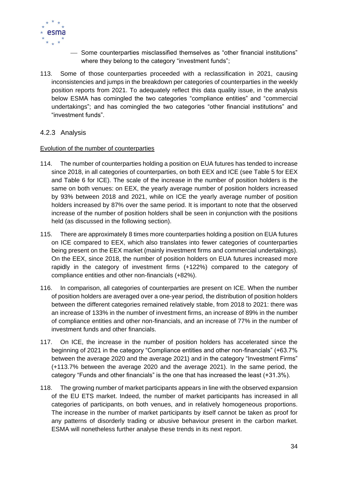

- ⎯ Some counterparties misclassified themselves as "other financial institutions" where they belong to the category "investment funds";
- 113. Some of those counterparties proceeded with a reclassification in 2021, causing inconsistencies and jumps in the breakdown per categories of counterparties in the weekly position reports from 2021. To adequately reflect this data quality issue, in the analysis below ESMA has comingled the two categories "compliance entities" and "commercial undertakings"; and has comingled the two categories "other financial institutions" and "investment funds".

### <span id="page-33-0"></span>4.2.3 Analysis

#### Evolution of the number of counterparties

- 114. The number of counterparties holding a position on EUA futures has tended to increase since 2018, in all categories of counterparties, on both EEX and ICE (see [Table 5](#page-34-0) for EEX and [Table 6](#page-34-1) for ICE). The scale of the increase in the number of position holders is the same on both venues: on EEX, the yearly average number of position holders increased by 93% between 2018 and 2021, while on ICE the yearly average number of position holders increased by 87% over the same period. It is important to note that the observed increase of the number of position holders shall be seen in conjunction with the positions held (as discussed in the following section).
- 115. There are approximately 8 times more counterparties holding a position on EUA futures on ICE compared to EEX, which also translates into fewer categories of counterparties being present on the EEX market (mainly investment firms and commercial undertakings). On the EEX, since 2018, the number of position holders on EUA futures increased more rapidly in the category of investment firms (+122%) compared to the category of compliance entities and other non-financials (+82%).
- 116. In comparison, all categories of counterparties are present on ICE. When the number of position holders are averaged over a one-year period, the distribution of position holders between the different categories remained relatively stable, from 2018 to 2021: there was an increase of 133% in the number of investment firms, an increase of 89% in the number of compliance entities and other non-financials, and an increase of 77% in the number of investment funds and other financials.
- 117. On ICE, the increase in the number of position holders has accelerated since the beginning of 2021 in the category "Compliance entities and other non-financials" (+63.7% between the average 2020 and the average 2021) and in the category "Investment Firms" (+113.7% between the average 2020 and the average 2021). In the same period, the category "Funds and other financials" is the one that has increased the least (+31.3%).
- 118. The growing number of market participants appears in line with the observed expansion of the EU ETS market. Indeed, the number of market participants has increased in all categories of participants, on both venues, and in relatively homogeneous proportions. The increase in the number of market participants by itself cannot be taken as proof for any patterns of disorderly trading or abusive behaviour present in the carbon market. ESMA will nonetheless further analyse these trends in its next report.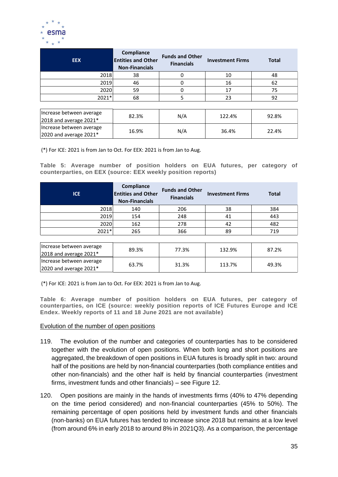

| <b>EEX</b>                             | Compliance<br><b>Entities and Other</b><br><b>Non-Financials</b> | <b>Funds and Other</b><br><b>Financials</b> | <b>Investment Firms</b> | <b>Total</b> |
|----------------------------------------|------------------------------------------------------------------|---------------------------------------------|-------------------------|--------------|
| 2018                                   | 38                                                               |                                             | 10                      | 48           |
| 2019                                   | 46                                                               |                                             | 16                      | 62           |
| 2020                                   | 59                                                               |                                             | 17                      | 75           |
| 2021*                                  | 68                                                               |                                             | 23                      | 92           |
|                                        |                                                                  |                                             |                         |              |
| Increase between average<br>$\sqrt{2}$ | 82.3%                                                            | N/A                                         | 122.4%                  | 92.8%        |

| Tincrease between average   | 82.3% | N/A | 122.4% | 92.8% |  |
|-----------------------------|-------|-----|--------|-------|--|
| $ 2018$ and average $2021*$ |       |     |        |       |  |
| Increase between average    | 16.9% | N/A | 36.4%  | 22.4% |  |
| $ 2020$ and average $2021*$ |       |     |        |       |  |

(\*) For ICE: 2021 is from Jan to Oct. For EEX: 2021 is from Jan to Aug.

<span id="page-34-0"></span>**Table 5: Average number of position holders on EUA futures, per category of counterparties, on EEX (source: EEX weekly position reports)**

| <b>ICE</b> | Compliance<br><b>Entities and Other</b><br><b>Non-Financials</b> | <b>Funds and Other</b><br><b>Financials</b> | <b>Investment Firms</b> | <b>Total</b> |
|------------|------------------------------------------------------------------|---------------------------------------------|-------------------------|--------------|
| 2018       | 140                                                              | 206                                         | 38                      | 384          |
| 2019       | 154                                                              | 248                                         | 41                      | 443          |
| 2020       | 162                                                              | 278                                         | 42                      | 482          |
| 2021*      | 265                                                              | 366                                         | 89                      | 719          |

| Increase between average<br>2018 and average $2021*$    | 89.3% | 77.3% | 132.9% | 87.2% |
|---------------------------------------------------------|-------|-------|--------|-------|
| Increase between average<br>$ 2020$ and average $2021*$ | 63.7% | 31.3% | 113.7% | 49.3% |

(\*) For ICE: 2021 is from Jan to Oct. For EEX: 2021 is from Jan to Aug.

<span id="page-34-1"></span>**Table 6: Average number of position holders on EUA futures, per category of counterparties, on ICE (source: weekly position reports of ICE Futures Europe and ICE Endex. Weekly reports of 11 and 18 June 2021 are not available)**

#### Evolution of the number of open positions

- 119. The evolution of the number and categories of counterparties has to be considered together with the evolution of open positions. When both long and short positions are aggregated, the breakdown of open positions in EUA futures is broadly split in two: around half of the positions are held by non-financial counterparties (both compliance entities and other non-financials) and the other half is held by financial counterparties (investment firms, investment funds and other financials) – see [Figure 12.](#page-35-0)
- 120. Open positions are mainly in the hands of investments firms (40% to 47% depending on the time period considered) and non-financial counterparties (45% to 50%). The remaining percentage of open positions held by investment funds and other financials (non-banks) on EUA futures has tended to increase since 2018 but remains at a low level (from around 6% in early 2018 to around 8% in 2021Q3). As a comparison, the percentage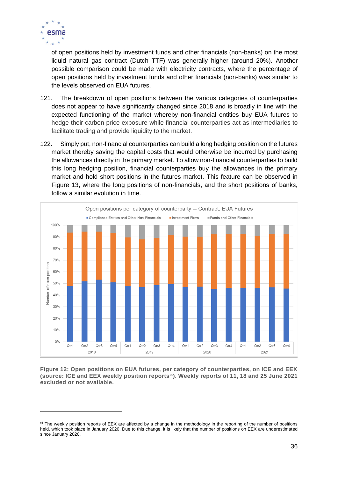

of open positions held by investment funds and other financials (non-banks) on the most liquid natural gas contract (Dutch TTF) was generally higher (around 20%). Another possible comparison could be made with electricity contracts, where the percentage of open positions held by investment funds and other financials (non-banks) was similar to the levels observed on EUA futures.

- 121. The breakdown of open positions between the various categories of counterparties does not appear to have significantly changed since 2018 and is broadly in line with the expected functioning of the market whereby non-financial entities buy EUA futures to hedge their carbon price exposure while financial counterparties act as intermediaries to facilitate trading and provide liquidity to the market.
- 122. Simply put, non-financial counterparties can build a long hedging position on the futures market thereby saving the capital costs that would otherwise be incurred by purchasing the allowances directly in the primary market. To allow non-financial counterparties to build this long hedging position, financial counterparties buy the allowances in the primary market and hold short positions in the futures market. This feature can be observed in [Figure 13,](#page-36-0) where the long positions of non-financials, and the short positions of banks, follow a similar evolution in time.



<span id="page-35-0"></span>**Figure 12: Open positions on EUA futures, per category of counterparties, on ICE and EEX (source: ICE and EEX weekly position reports61). Weekly reports of 11, 18 and 25 June 2021 excluded or not available.** 

<sup>&</sup>lt;sup>61</sup> The weekly position reports of EEX are affected by a change in the methodology in the reporting of the number of positions held, which took place in January 2020. Due to this change, it is likely that the number of positions on EEX are underestimated since January 2020.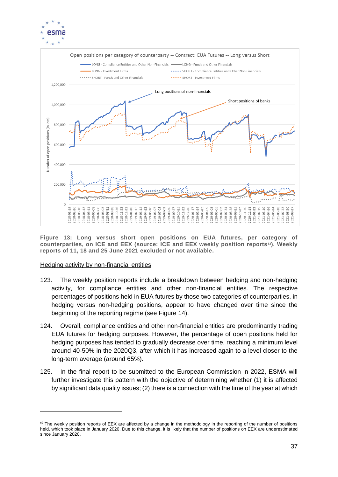



<span id="page-36-0"></span>**Figure 13: Long versus short open positions on EUA futures, per category of counterparties, on ICE and EEX (source: ICE and EEX weekly position reports62). Weekly reports of 11, 18 and 25 June 2021 excluded or not available.** 

#### Hedging activity by non-financial entities

- 123. The weekly position reports include a breakdown between hedging and non-hedging activity, for compliance entities and other non-financial entities. The respective percentages of positions held in EUA futures by those two categories of counterparties, in hedging versus non-hedging positions, appear to have changed over time since the beginning of the reporting regime (see [Figure 14\)](#page-37-1).
- 124. Overall, compliance entities and other non-financial entities are predominantly trading EUA futures for hedging purposes. However, the percentage of open positions held for hedging purposes has tended to gradually decrease over time, reaching a minimum level around 40-50% in the 2020Q3, after which it has increased again to a level closer to the long-term average (around 65%).
- 125. In the final report to be submitted to the European Commission in 2022, ESMA will further investigate this pattern with the objective of determining whether (1) it is affected by significant data quality issues; (2) there is a connection with the time of the year at which

<sup>&</sup>lt;sup>62</sup> The weekly position reports of EEX are affected by a change in the methodology in the reporting of the number of positions held, which took place in January 2020. Due to this change, it is likely that the number of positions on EEX are underestimated since January 2020.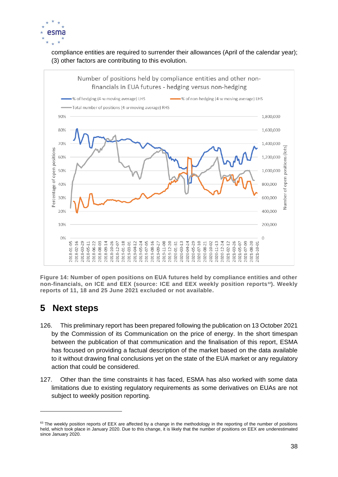

compliance entities are required to surrender their allowances (April of the calendar year); (3) other factors are contributing to this evolution.



<span id="page-37-1"></span>**Figure 14: Number of open positions on EUA futures held by compliance entities and other non-financials, on ICE and EEX (source: ICE and EEX weekly position reports63). Weekly reports of 11, 18 and 25 June 2021 excluded or not available.**

# <span id="page-37-0"></span>**5 Next steps**

- 126. This preliminary report has been prepared following the publication on 13 October 2021 by the Commission of its Communication on the price of energy. In the short timespan between the publication of that communication and the finalisation of this report, ESMA has focused on providing a factual description of the market based on the data available to it without drawing final conclusions yet on the state of the EUA market or any regulatory action that could be considered.
- 127. Other than the time constraints it has faced, ESMA has also worked with some data limitations due to existing regulatory requirements as some derivatives on EUAs are not subject to weekly position reporting.

<sup>&</sup>lt;sup>63</sup> The weekly position reports of EEX are affected by a change in the methodology in the reporting of the number of positions held, which took place in January 2020. Due to this change, it is likely that the number of positions on EEX are underestimated since January 2020.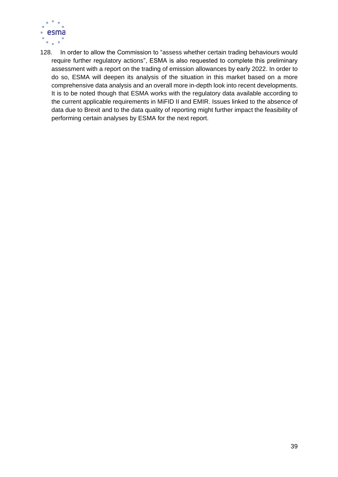

128. In order to allow the Commission to "assess whether certain trading behaviours would require further regulatory actions", ESMA is also requested to complete this preliminary assessment with a report on the trading of emission allowances by early 2022. In order to do so, ESMA will deepen its analysis of the situation in this market based on a more comprehensive data analysis and an overall more in-depth look into recent developments. It is to be noted though that ESMA works with the regulatory data available according to the current applicable requirements in MiFID II and EMIR. Issues linked to the absence of data due to Brexit and to the data quality of reporting might further impact the feasibility of performing certain analyses by ESMA for the next report.